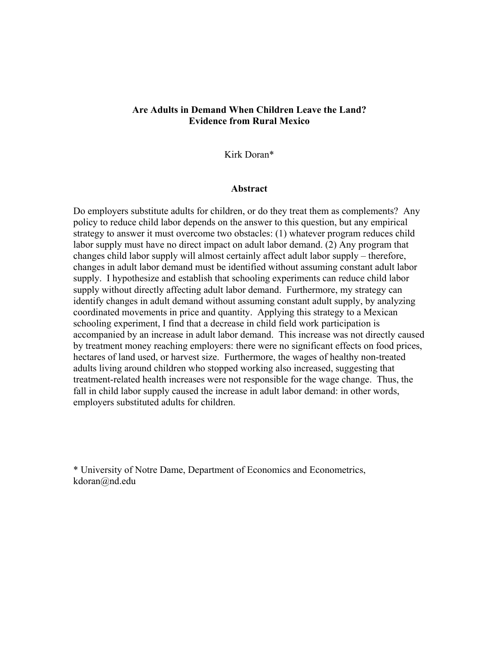## **Are Adults in Demand When Children Leave the Land? Evidence from Rural Mexico**

Kirk Doran\*

#### **Abstract**

Do employers substitute adults for children, or do they treat them as complements? Any policy to reduce child labor depends on the answer to this question, but any empirical strategy to answer it must overcome two obstacles: (1) whatever program reduces child labor supply must have no direct impact on adult labor demand. (2) Any program that changes child labor supply will almost certainly affect adult labor supply – therefore, changes in adult labor demand must be identified without assuming constant adult labor supply. I hypothesize and establish that schooling experiments can reduce child labor supply without directly affecting adult labor demand. Furthermore, my strategy can identify changes in adult demand without assuming constant adult supply, by analyzing coordinated movements in price and quantity. Applying this strategy to a Mexican schooling experiment, I find that a decrease in child field work participation is accompanied by an increase in adult labor demand. This increase was not directly caused by treatment money reaching employers: there were no significant effects on food prices, hectares of land used, or harvest size. Furthermore, the wages of healthy non-treated adults living around children who stopped working also increased, suggesting that treatment-related health increases were not responsible for the wage change. Thus, the fall in child labor supply caused the increase in adult labor demand: in other words, employers substituted adults for children.

\* University of Notre Dame, Department of Economics and Econometrics, kdoran@nd.edu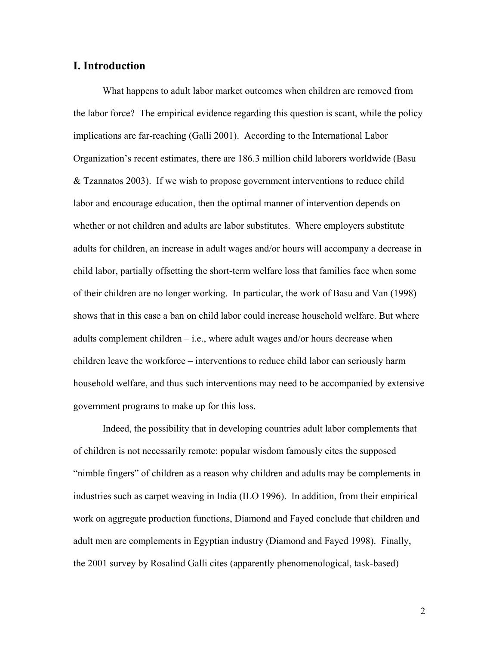## **I. Introduction**

 What happens to adult labor market outcomes when children are removed from the labor force? The empirical evidence regarding this question is scant, while the policy implications are far-reaching (Galli 2001). According to the International Labor Organization's recent estimates, there are 186.3 million child laborers worldwide (Basu & Tzannatos 2003). If we wish to propose government interventions to reduce child labor and encourage education, then the optimal manner of intervention depends on whether or not children and adults are labor substitutes. Where employers substitute adults for children, an increase in adult wages and/or hours will accompany a decrease in child labor, partially offsetting the short-term welfare loss that families face when some of their children are no longer working. In particular, the work of Basu and Van (1998) shows that in this case a ban on child labor could increase household welfare. But where adults complement children  $-$  i.e., where adult wages and/or hours decrease when children leave the workforce – interventions to reduce child labor can seriously harm household welfare, and thus such interventions may need to be accompanied by extensive government programs to make up for this loss.

 Indeed, the possibility that in developing countries adult labor complements that of children is not necessarily remote: popular wisdom famously cites the supposed "nimble fingers" of children as a reason why children and adults may be complements in industries such as carpet weaving in India (ILO 1996). In addition, from their empirical work on aggregate production functions, Diamond and Fayed conclude that children and adult men are complements in Egyptian industry (Diamond and Fayed 1998). Finally, the 2001 survey by Rosalind Galli cites (apparently phenomenological, task-based)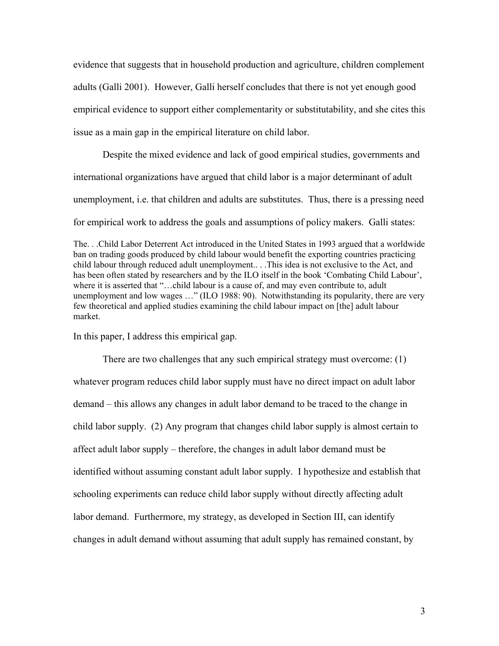evidence that suggests that in household production and agriculture, children complement adults (Galli 2001). However, Galli herself concludes that there is not yet enough good empirical evidence to support either complementarity or substitutability, and she cites this issue as a main gap in the empirical literature on child labor.

Despite the mixed evidence and lack of good empirical studies, governments and international organizations have argued that child labor is a major determinant of adult unemployment, i.e. that children and adults are substitutes. Thus, there is a pressing need for empirical work to address the goals and assumptions of policy makers. Galli states:

The. . .Child Labor Deterrent Act introduced in the United States in 1993 argued that a worldwide ban on trading goods produced by child labour would benefit the exporting countries practicing child labour through reduced adult unemployment.. . .This idea is not exclusive to the Act, and has been often stated by researchers and by the ILO itself in the book 'Combating Child Labour', where it is asserted that "...child labour is a cause of, and may even contribute to, adult unemployment and low wages …" (ILO 1988: 90). Notwithstanding its popularity, there are very few theoretical and applied studies examining the child labour impact on [the] adult labour market.

In this paper, I address this empirical gap.

 There are two challenges that any such empirical strategy must overcome: (1) whatever program reduces child labor supply must have no direct impact on adult labor demand – this allows any changes in adult labor demand to be traced to the change in child labor supply. (2) Any program that changes child labor supply is almost certain to affect adult labor supply – therefore, the changes in adult labor demand must be identified without assuming constant adult labor supply. I hypothesize and establish that schooling experiments can reduce child labor supply without directly affecting adult labor demand. Furthermore, my strategy, as developed in Section III, can identify changes in adult demand without assuming that adult supply has remained constant, by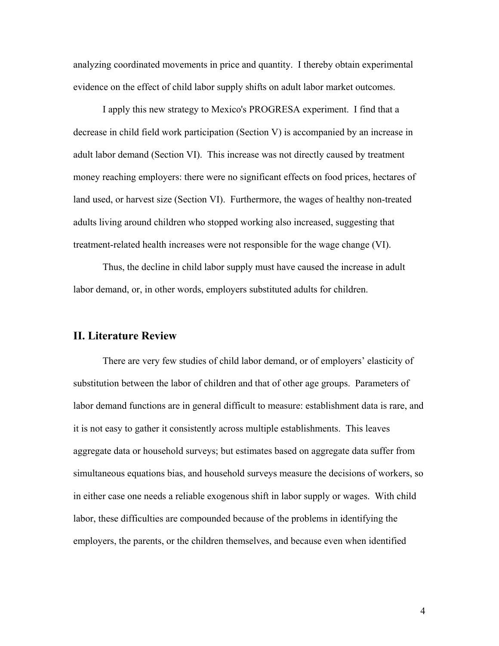analyzing coordinated movements in price and quantity. I thereby obtain experimental evidence on the effect of child labor supply shifts on adult labor market outcomes.

 I apply this new strategy to Mexico's PROGRESA experiment. I find that a decrease in child field work participation (Section V) is accompanied by an increase in adult labor demand (Section VI). This increase was not directly caused by treatment money reaching employers: there were no significant effects on food prices, hectares of land used, or harvest size (Section VI). Furthermore, the wages of healthy non-treated adults living around children who stopped working also increased, suggesting that treatment-related health increases were not responsible for the wage change (VI).

 Thus, the decline in child labor supply must have caused the increase in adult labor demand, or, in other words, employers substituted adults for children.

## **II. Literature Review**

 There are very few studies of child labor demand, or of employers' elasticity of substitution between the labor of children and that of other age groups. Parameters of labor demand functions are in general difficult to measure: establishment data is rare, and it is not easy to gather it consistently across multiple establishments. This leaves aggregate data or household surveys; but estimates based on aggregate data suffer from simultaneous equations bias, and household surveys measure the decisions of workers, so in either case one needs a reliable exogenous shift in labor supply or wages. With child labor, these difficulties are compounded because of the problems in identifying the employers, the parents, or the children themselves, and because even when identified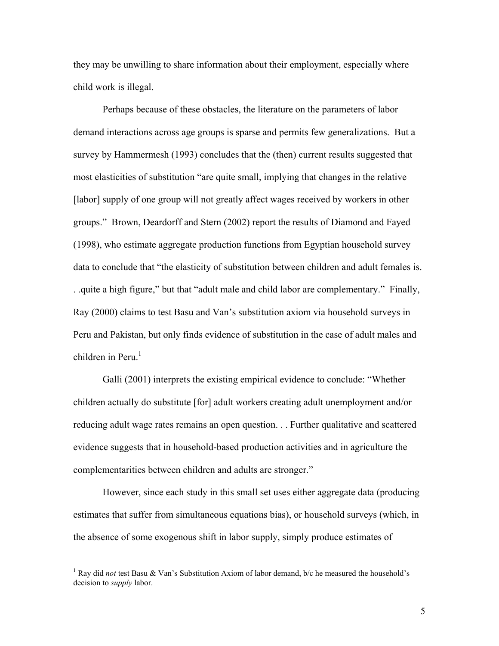they may be unwilling to share information about their employment, especially where child work is illegal.

 Perhaps because of these obstacles, the literature on the parameters of labor demand interactions across age groups is sparse and permits few generalizations. But a survey by Hammermesh (1993) concludes that the (then) current results suggested that most elasticities of substitution "are quite small, implying that changes in the relative [labor] supply of one group will not greatly affect wages received by workers in other groups." Brown, Deardorff and Stern (2002) report the results of Diamond and Fayed (1998), who estimate aggregate production functions from Egyptian household survey data to conclude that "the elasticity of substitution between children and adult females is. . .quite a high figure," but that "adult male and child labor are complementary." Finally, Ray (2000) claims to test Basu and Van's substitution axiom via household surveys in Peru and Pakistan, but only finds evidence of substitution in the case of adult males and children in Peru. $<sup>1</sup>$ </sup>

 Galli (2001) interprets the existing empirical evidence to conclude: "Whether children actually do substitute [for] adult workers creating adult unemployment and/or reducing adult wage rates remains an open question. . . Further qualitative and scattered evidence suggests that in household-based production activities and in agriculture the complementarities between children and adults are stronger."

However, since each study in this small set uses either aggregate data (producing estimates that suffer from simultaneous equations bias), or household surveys (which, in the absence of some exogenous shift in labor supply, simply produce estimates of

 $\overline{a}$ 

<sup>&</sup>lt;sup>1</sup> Ray did *not* test Basu & Van's Substitution Axiom of labor demand, b/c he measured the household's decision to *supply* labor.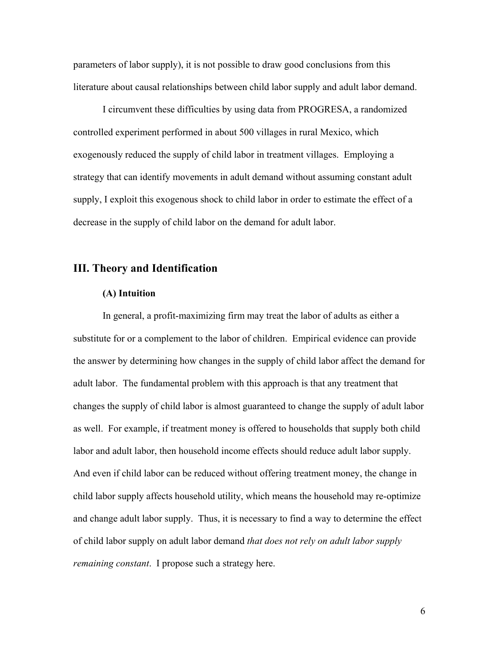parameters of labor supply), it is not possible to draw good conclusions from this literature about causal relationships between child labor supply and adult labor demand.

I circumvent these difficulties by using data from PROGRESA, a randomized controlled experiment performed in about 500 villages in rural Mexico, which exogenously reduced the supply of child labor in treatment villages. Employing a strategy that can identify movements in adult demand without assuming constant adult supply, I exploit this exogenous shock to child labor in order to estimate the effect of a decrease in the supply of child labor on the demand for adult labor.

## **III. Theory and Identification**

#### **(A) Intuition**

In general, a profit-maximizing firm may treat the labor of adults as either a substitute for or a complement to the labor of children. Empirical evidence can provide the answer by determining how changes in the supply of child labor affect the demand for adult labor. The fundamental problem with this approach is that any treatment that changes the supply of child labor is almost guaranteed to change the supply of adult labor as well. For example, if treatment money is offered to households that supply both child labor and adult labor, then household income effects should reduce adult labor supply. And even if child labor can be reduced without offering treatment money, the change in child labor supply affects household utility, which means the household may re-optimize and change adult labor supply. Thus, it is necessary to find a way to determine the effect of child labor supply on adult labor demand *that does not rely on adult labor supply remaining constant*. I propose such a strategy here.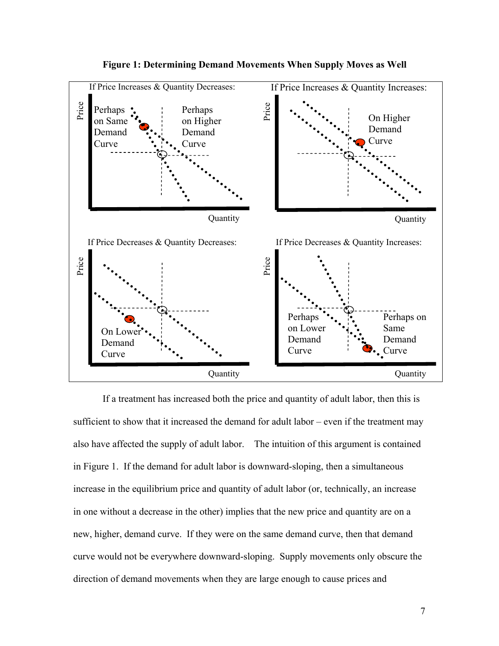

**Figure 1: Determining Demand Movements When Supply Moves as Well** 

If a treatment has increased both the price and quantity of adult labor, then this is sufficient to show that it increased the demand for adult labor – even if the treatment may also have affected the supply of adult labor. The intuition of this argument is contained in Figure 1. If the demand for adult labor is downward-sloping, then a simultaneous increase in the equilibrium price and quantity of adult labor (or, technically, an increase in one without a decrease in the other) implies that the new price and quantity are on a new, higher, demand curve. If they were on the same demand curve, then that demand curve would not be everywhere downward-sloping. Supply movements only obscure the direction of demand movements when they are large enough to cause prices and direction of demand movements when they are large enough to cause direction of demand in the set of the demand for adult labor. The intuition of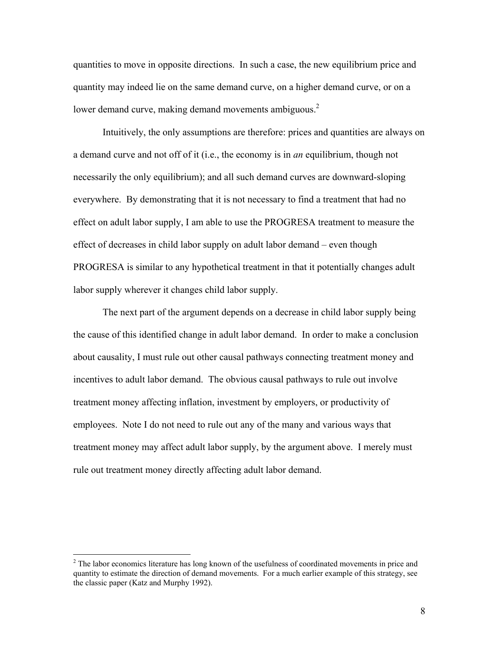quantities to move in opposite directions. In such a case, the new equilibrium price and quantity may indeed lie on the same demand curve, on a higher demand curve, or on a lower demand curve, making demand movements ambiguous.<sup>2</sup>

Intuitively, the only assumptions are therefore: prices and quantities are always on a demand curve and not off of it (i.e., the economy is in *an* equilibrium, though not necessarily the only equilibrium); and all such demand curves are downward-sloping everywhere. By demonstrating that it is not necessary to find a treatment that had no effect on adult labor supply, I am able to use the PROGRESA treatment to measure the effect of decreases in child labor supply on adult labor demand – even though PROGRESA is similar to any hypothetical treatment in that it potentially changes adult labor supply wherever it changes child labor supply.

The next part of the argument depends on a decrease in child labor supply being the cause of this identified change in adult labor demand. In order to make a conclusion about causality, I must rule out other causal pathways connecting treatment money and incentives to adult labor demand. The obvious causal pathways to rule out involve treatment money affecting inflation, investment by employers, or productivity of employees. Note I do not need to rule out any of the many and various ways that treatment money may affect adult labor supply, by the argument above. I merely must rule out treatment money directly affecting adult labor demand.

 $\overline{a}$ 

 $2^{2}$  The labor economics literature has long known of the usefulness of coordinated movements in price and quantity to estimate the direction of demand movements. For a much earlier example of this strategy, see the classic paper (Katz and Murphy 1992).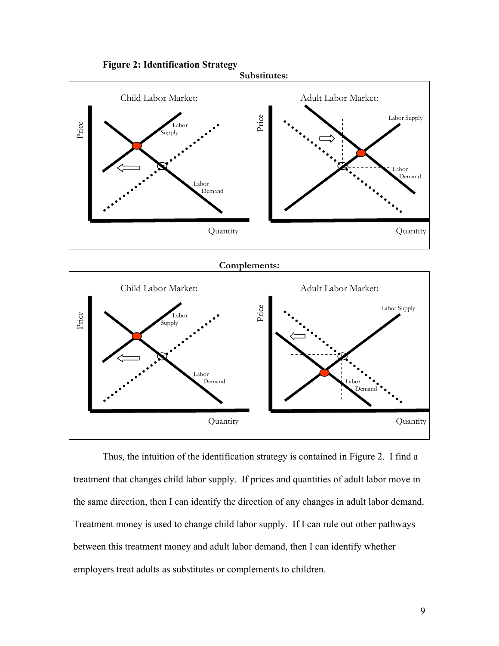

Thus, the intuition of the identification strategy is contained in Figure 2. I find a treatment that changes child labor supply. If prices and quantities of adult labor move in the same direction, then I can identify the direction of any changes in adult labor demand. Treatment money is used to change child labor supply. If I can rule out other pathways between this treatment money and adult labor demand, then I can identify whether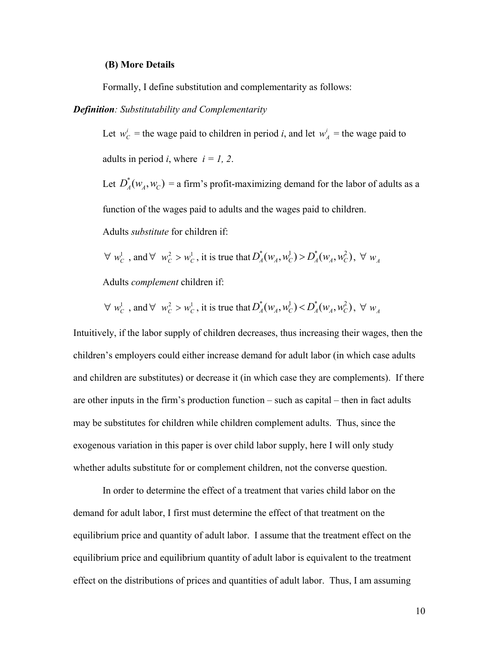#### **(B) More Details**

Formally, I define substitution and complementarity as follows:

#### *Definition: Substitutability and Complementarity*

Let  $w_C^i$  = the wage paid to children in period *i*, and let  $w_A^i$  = the wage paid to adults in period *i*, where  $i = 1, 2$ .

Let  $D_A^*(w_A, w_C) =$  a firm's profit-maximizing demand for the labor of adults as a function of the wages paid to adults and the wages paid to children.

Adults *substitute* for children if:

 $\forall w_c^1$ , and  $\forall w_c^2 > w_c^1$ , it is true that  $D_A^*(w_A, w_c^1) > D_A^*(w_A, w_c^2)$ ,  $\forall w_A^2$ 

Adults *complement* children if:

$$
\forall w_C^1, \text{ and } \forall w_C^2 > w_C^1, \text{ it is true that } D_A^*(w_A, w_C^1) < D_A^*(w_A, w_C^2), \forall w_A^2
$$

Intuitively, if the labor supply of children decreases, thus increasing their wages, then the children's employers could either increase demand for adult labor (in which case adults and children are substitutes) or decrease it (in which case they are complements). If there are other inputs in the firm's production function – such as capital – then in fact adults may be substitutes for children while children complement adults. Thus, since the exogenous variation in this paper is over child labor supply, here I will only study whether adults substitute for or complement children, not the converse question.

 In order to determine the effect of a treatment that varies child labor on the demand for adult labor, I first must determine the effect of that treatment on the equilibrium price and quantity of adult labor. I assume that the treatment effect on the equilibrium price and equilibrium quantity of adult labor is equivalent to the treatment effect on the distributions of prices and quantities of adult labor. Thus, I am assuming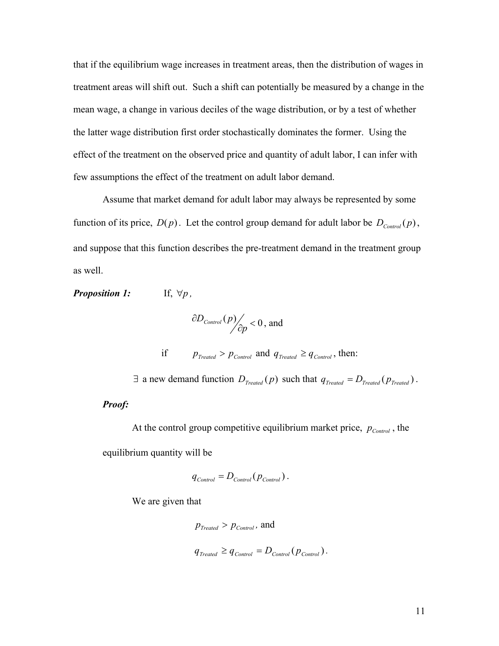that if the equilibrium wage increases in treatment areas, then the distribution of wages in treatment areas will shift out. Such a shift can potentially be measured by a change in the mean wage, a change in various deciles of the wage distribution, or by a test of whether the latter wage distribution first order stochastically dominates the former. Using the effect of the treatment on the observed price and quantity of adult labor, I can infer with few assumptions the effect of the treatment on adult labor demand.

 Assume that market demand for adult labor may always be represented by some function of its price,  $D(p)$ . Let the control group demand for adult labor be  $D_{Control}(p)$ , and suppose that this function describes the pre-treatment demand in the treatment group as well.

*Proposition 1:* If,  $\forall p$ ,

$$
\frac{\partial D_{Control}(p)}{\partial p} < 0
$$
, and

if  $p_{\text{Treated}} > p_{\text{Control}}$  and  $q_{\text{Treated}} \geq q_{\text{Control}}$ , then:

 $\exists$  a new demand function  $D_{\text{Treated}}(p)$  such that  $q_{\text{Treated}} = D_{\text{Treated}}(p_{\text{Treated}})$ .

### *Proof:*

At the control group competitive equilibrium market price,  $p_{Control}$ , the equilibrium quantity will be

$$
q_{Control} = D_{Control}(p_{Control}).
$$

We are given that

$$
p_{Treated} > p_{Control}
$$
, and  
 $q_{Treated} \geq q_{Control} = D_{Control}(p_{Control})$ .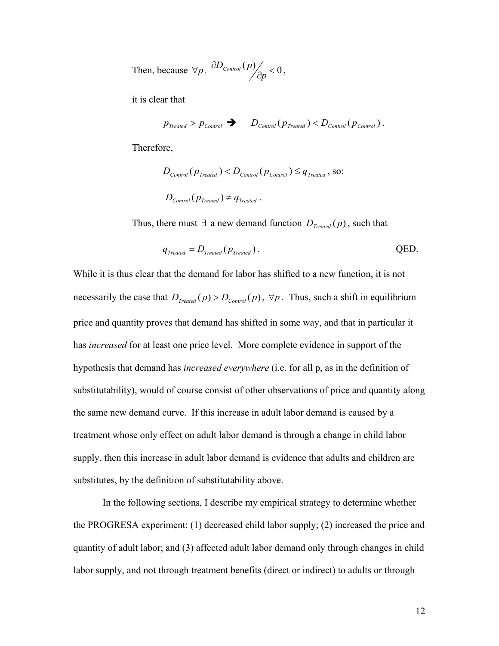Then, because  $\forall p$ ,  $\frac{\partial D_{Control}(p)}{\partial p} < 0$  $\frac{D_{\text{Control}}(p)}{\partial p} < 0$ ,

it is clear that

$$
p_{\text{Treated}} > p_{\text{Control}} \rightarrow D_{\text{Control}}(p_{\text{Treated}}) < D_{\text{Control}}(p_{\text{Control}}).
$$

Therefore,

$$
D_{\text{Control}}(p_{\text{Treated}}) < D_{\text{Control}}(p_{\text{Control}}) \leq q_{\text{Treated}} \,, \text{ so:}
$$
\n
$$
D_{\text{Control}}(p_{\text{Treated}}) \neq q_{\text{Treated}} \,.
$$

Thus, there must ∃ a new demand function  $D_{\text{Treated}}(p)$ , such that

$$
q_{\text{Treated}} = D_{\text{Treated}}(p_{\text{Treated}}).
$$
 QED.

While it is thus clear that the demand for labor has shifted to a new function, it is not necessarily the case that  $D_{\text{Treated}}(p) > D_{\text{Control}}(p)$ ,  $\forall p$ . Thus, such a shift in equilibrium price and quantity proves that demand has shifted in some way, and that in particular it has *increased* for at least one price level. More complete evidence in support of the hypothesis that demand has *increased everywhere* (i.e. for all p, as in the definition of substitutability), would of course consist of other observations of price and quantity along the same new demand curve. If this increase in adult labor demand is caused by a treatment whose only effect on adult labor demand is through a change in child labor supply, then this increase in adult labor demand is evidence that adults and children are substitutes, by the definition of substitutability above.

In the following sections, I describe my empirical strategy to determine whether the PROGRESA experiment: (1) decreased child labor supply; (2) increased the price and quantity of adult labor; and (3) affected adult labor demand only through changes in child labor supply, and not through treatment benefits (direct or indirect) to adults or through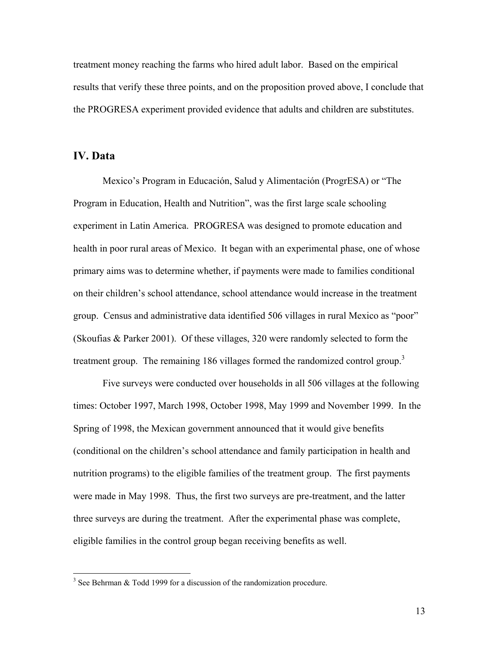treatment money reaching the farms who hired adult labor. Based on the empirical results that verify these three points, and on the proposition proved above, I conclude that the PROGRESA experiment provided evidence that adults and children are substitutes.

## **IV. Data**

<u>.</u>

 Mexico's Program in Educaciόn, Salud y Alimentaciόn (ProgrESA) or "The Program in Education, Health and Nutrition", was the first large scale schooling experiment in Latin America. PROGRESA was designed to promote education and health in poor rural areas of Mexico. It began with an experimental phase, one of whose primary aims was to determine whether, if payments were made to families conditional on their children's school attendance, school attendance would increase in the treatment group. Census and administrative data identified 506 villages in rural Mexico as "poor" (Skoufias & Parker 2001). Of these villages, 320 were randomly selected to form the treatment group. The remaining 186 villages formed the randomized control group.<sup>3</sup>

Five surveys were conducted over households in all 506 villages at the following times: October 1997, March 1998, October 1998, May 1999 and November 1999. In the Spring of 1998, the Mexican government announced that it would give benefits (conditional on the children's school attendance and family participation in health and nutrition programs) to the eligible families of the treatment group. The first payments were made in May 1998. Thus, the first two surveys are pre-treatment, and the latter three surveys are during the treatment. After the experimental phase was complete, eligible families in the control group began receiving benefits as well.

 $3$  See Behrman & Todd 1999 for a discussion of the randomization procedure.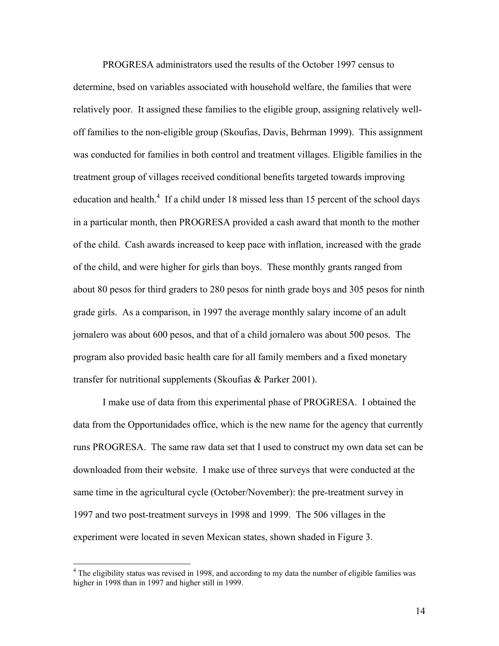PROGRESA administrators used the results of the October 1997 census to determine, bsed on variables associated with household welfare, the families that were relatively poor. It assigned these families to the eligible group, assigning relatively welloff families to the non-eligible group (Skoufias, Davis, Behrman 1999). This assignment was conducted for families in both control and treatment villages. Eligible families in the treatment group of villages received conditional benefits targeted towards improving education and health. $4$  If a child under 18 missed less than 15 percent of the school days in a particular month, then PROGRESA provided a cash award that month to the mother of the child. Cash awards increased to keep pace with inflation, increased with the grade of the child, and were higher for girls than boys. These monthly grants ranged from about 80 pesos for third graders to 280 pesos for ninth grade boys and 305 pesos for ninth grade girls. As a comparison, in 1997 the average monthly salary income of an adult jornalero was about 600 pesos, and that of a child jornalero was about 500 pesos. The program also provided basic health care for all family members and a fixed monetary transfer for nutritional supplements (Skoufias & Parker 2001).

 I make use of data from this experimental phase of PROGRESA. I obtained the data from the Opportunidades office, which is the new name for the agency that currently runs PROGRESA. The same raw data set that I used to construct my own data set can be downloaded from their website. I make use of three surveys that were conducted at the same time in the agricultural cycle (October/November): the pre-treatment survey in 1997 and two post-treatment surveys in 1998 and 1999. The 506 villages in the experiment were located in seven Mexican states, shown shaded in Figure 3.

 $\overline{a}$ 

<sup>&</sup>lt;sup>4</sup> The eligibility status was revised in 1998, and according to my data the number of eligible families was higher in 1998 than in 1997 and higher still in 1999.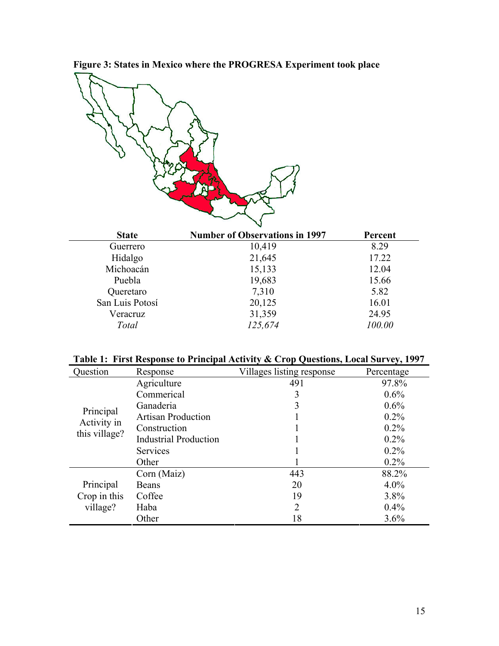**Figure 3: States in Mexico where the PROGRESA Experiment took place** 

| <b>State</b>    | <b>Number of Observations in 1997</b> | Percent |
|-----------------|---------------------------------------|---------|
| Guerrero        | 10,419                                | 8.29    |
| Hidalgo         | 21,645                                | 17.22   |
| Michoacán       | 15,133                                | 12.04   |
| Puebla          | 19,683                                | 15.66   |
| Queretaro       | 7,310                                 | 5.82    |
| San Luis Potosí | 20,125                                | 16.01   |
| Veracruz        | 31,359                                | 24.95   |
| Total           | 125,674                               | 100.00  |

|  | Table 1: First Response to Principal Activity & Crop Questions, Local Survey, 1997 |  |
|--|------------------------------------------------------------------------------------|--|
|--|------------------------------------------------------------------------------------|--|

| Question                                  | Response                     | Villages listing response | Percentage |
|-------------------------------------------|------------------------------|---------------------------|------------|
|                                           | Agriculture                  | 491                       | 97.8%      |
|                                           | Commerical                   | 3                         | $0.6\%$    |
| Principal<br>Activity in<br>this village? | Ganaderia                    |                           | 0.6%       |
|                                           | <b>Artisan Production</b>    |                           | $0.2\%$    |
|                                           | Construction                 |                           | $0.2\%$    |
|                                           | <b>Industrial Production</b> |                           | $0.2\%$    |
|                                           | <b>Services</b>              |                           | $0.2\%$    |
|                                           | Other                        |                           | $0.2\%$    |
|                                           | Corn (Maiz)                  | 443                       | 88.2%      |
| Principal                                 | Beans                        | 20                        | $4.0\%$    |
| Crop in this                              | Coffee                       | 19                        | 3.8%       |
| village?                                  | Haba                         | $\overline{2}$            | 0.4%       |
|                                           | Other                        | 18                        | 3.6%       |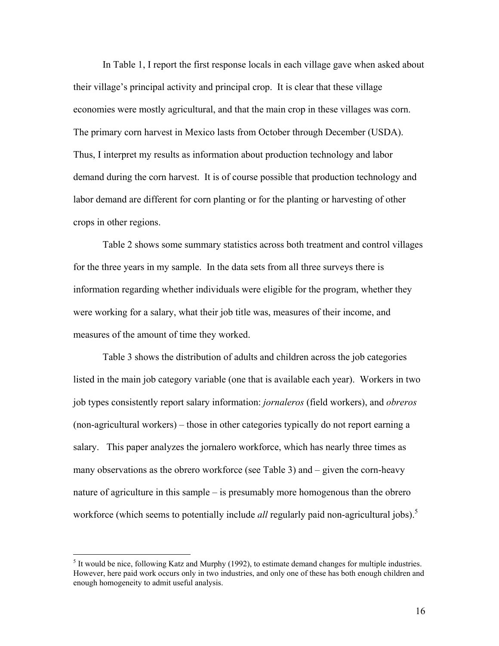In Table 1, I report the first response locals in each village gave when asked about their village's principal activity and principal crop. It is clear that these village economies were mostly agricultural, and that the main crop in these villages was corn. The primary corn harvest in Mexico lasts from October through December (USDA). Thus, I interpret my results as information about production technology and labor demand during the corn harvest. It is of course possible that production technology and labor demand are different for corn planting or for the planting or harvesting of other crops in other regions.

 Table 2 shows some summary statistics across both treatment and control villages for the three years in my sample. In the data sets from all three surveys there is information regarding whether individuals were eligible for the program, whether they were working for a salary, what their job title was, measures of their income, and measures of the amount of time they worked.

Table 3 shows the distribution of adults and children across the job categories listed in the main job category variable (one that is available each year). Workers in two job types consistently report salary information: *jornaleros* (field workers), and *obreros* (non-agricultural workers) – those in other categories typically do not report earning a salary. This paper analyzes the jornalero workforce, which has nearly three times as many observations as the obrero workforce (see Table 3) and – given the corn-heavy nature of agriculture in this sample – is presumably more homogenous than the obrero workforce (which seems to potentially include *all* regularly paid non-agricultural jobs).<sup>5</sup>

 $<sup>5</sup>$  It would be nice, following Katz and Murphy (1992), to estimate demand changes for multiple industries.</sup> However, here paid work occurs only in two industries, and only one of these has both enough children and enough homogeneity to admit useful analysis.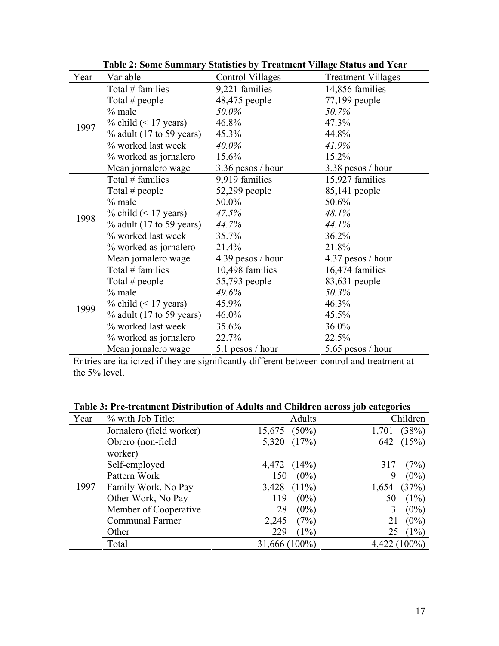|      | $\ldots$                    | $\sim$ $\mu$ $\mu$ $\sim$ $\mu$ $\sim$ $\mu$ $\sim$ $\mu$ $\sim$ | $\mathbf{v}$ $\sim$ $\mathbf{v}$ $\mathbf{w}$ $\mathbf{v}$ $\mathbf{v}$ $\mathbf{v}$ $\mathbf{v}$ $\mathbf{v}$ $\mathbf{v}$ $\mathbf{v}$ |
|------|-----------------------------|------------------------------------------------------------------|------------------------------------------------------------------------------------------------------------------------------------------|
| Year | Variable                    | Control Villages                                                 | <b>Treatment Villages</b>                                                                                                                |
|      | Total # families            | 9,221 families                                                   | 14,856 families                                                                                                                          |
|      | Total $#$ people            | 48,475 people                                                    | 77,199 people                                                                                                                            |
|      | $%$ male                    | 50.0%                                                            | 50.7%                                                                                                                                    |
| 1997 | $\%$ child (< 17 years)     | 46.8%                                                            | 47.3%                                                                                                                                    |
|      | $\%$ adult (17 to 59 years) | 45.3%                                                            | 44.8%                                                                                                                                    |
|      | % worked last week          | 40.0%                                                            | 41.9%                                                                                                                                    |
|      | % worked as jornalero       | 15.6%                                                            | 15.2%                                                                                                                                    |
|      | Mean jornalero wage         | $3.36$ pesos / hour                                              | 3.38 pesos / hour                                                                                                                        |
|      | Total # families            | 9,919 families                                                   | 15,927 families                                                                                                                          |
|      | Total # people              | 52,299 people                                                    | 85,141 people                                                                                                                            |
|      | $%$ male                    | 50.0%                                                            | 50.6%                                                                                                                                    |
| 1998 | % child $(< 17$ years)      | 47.5%                                                            | 48.1%                                                                                                                                    |
|      | $\%$ adult (17 to 59 years) | 44.7%                                                            | 44.1%                                                                                                                                    |
|      | % worked last week          | 35.7%                                                            | 36.2%                                                                                                                                    |
|      | % worked as jornalero       | 21.4%                                                            | 21.8%                                                                                                                                    |
|      | Mean jornalero wage         | 4.39 pesos / hour                                                | 4.37 pesos / hour                                                                                                                        |
|      | Total # families            | 10,498 families                                                  | 16,474 families                                                                                                                          |
|      | Total # people              | 55,793 people                                                    | 83,631 people                                                                                                                            |
|      | $%$ male                    | 49.6%                                                            | 50.3%                                                                                                                                    |
| 1999 | % child $(< 17$ years)      | 45.9%                                                            | 46.3%                                                                                                                                    |
|      | $\%$ adult (17 to 59 years) | 46.0%                                                            | 45.5%                                                                                                                                    |
|      | % worked last week          | 35.6%                                                            | 36.0%                                                                                                                                    |
|      | % worked as jornalero       | 22.7%                                                            | 22.5%                                                                                                                                    |
|      | Mean jornalero wage         | 5.1 pesos / hour                                                 | 5.65 pesos / hour                                                                                                                        |

**Table 2: Some Summary Statistics by Treatment Village Status and Year** 

Entries are italicized if they are significantly different between control and treatment at the 5% level.

## **Table 3: Pre-treatment Distribution of Adults and Children across job categories**

| Year | % with Job Title:        | <b>Adults</b>     | Children         |
|------|--------------------------|-------------------|------------------|
|      | Jornalero (field worker) | $15,675$ $(50\%)$ | $1,701$ $(38\%)$ |
|      | Obrero (non-field        | 5,320<br>(17%)    | 642 (15%)        |
|      | worker)                  |                   |                  |
|      | Self-employed            | $4,472$ $(14\%)$  | (7%)<br>317      |
|      | Pattern Work             | $150 (0\%)$       | $(0\%)$<br>9     |
| 1997 | Family Work, No Pay      | $3,428$ $(11\%)$  | $1,654$ $(37\%)$ |
|      | Other Work, No Pay       | $(0\%)$<br>119    | $(1\%)$<br>50    |
|      | Member of Cooperative    | $(0\%)$<br>28     | $(0\%)$          |
|      | <b>Communal Farmer</b>   | (7%)<br>2,245     | $(0\%)$<br>21    |
|      | Other                    | $(1\%)$<br>229    | $(1\%)$<br>25    |
|      | Total                    | $31,666(100\%)$   | $4,422(100\%)$   |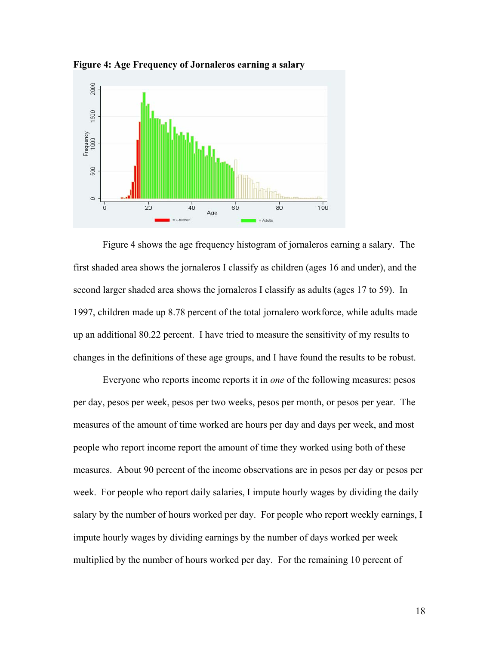

**Figure 4: Age Frequency of Jornaleros earning a salary** 

Figure 4 shows the age frequency histogram of jornaleros earning a salary. The first shaded area shows the jornaleros I classify as children (ages 16 and under), and the second larger shaded area shows the jornaleros I classify as adults (ages 17 to 59). In 1997, children made up 8.78 percent of the total jornalero workforce, while adults made up an additional 80.22 percent. I have tried to measure the sensitivity of my results to changes in the definitions of these age groups, and I have found the results to be robust.

 Everyone who reports income reports it in *one* of the following measures: pesos per day, pesos per week, pesos per two weeks, pesos per month, or pesos per year. The measures of the amount of time worked are hours per day and days per week, and most people who report income report the amount of time they worked using both of these measures. About 90 percent of the income observations are in pesos per day or pesos per week. For people who report daily salaries, I impute hourly wages by dividing the daily salary by the number of hours worked per day. For people who report weekly earnings, I impute hourly wages by dividing earnings by the number of days worked per week multiplied by the number of hours worked per day. For the remaining 10 percent of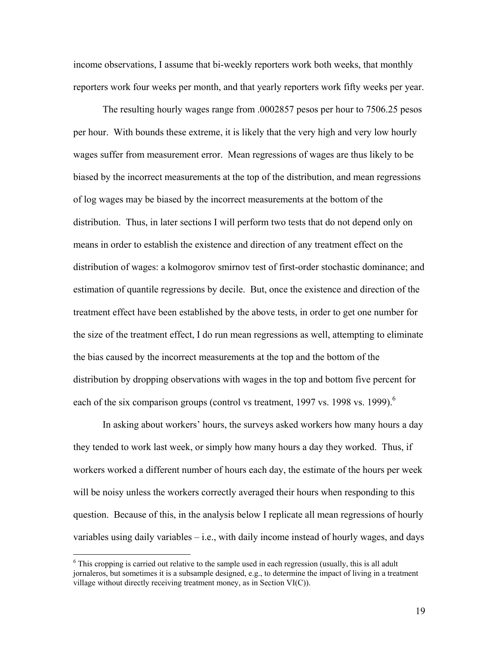income observations, I assume that bi-weekly reporters work both weeks, that monthly reporters work four weeks per month, and that yearly reporters work fifty weeks per year.

 The resulting hourly wages range from .0002857 pesos per hour to 7506.25 pesos per hour. With bounds these extreme, it is likely that the very high and very low hourly wages suffer from measurement error. Mean regressions of wages are thus likely to be biased by the incorrect measurements at the top of the distribution, and mean regressions of log wages may be biased by the incorrect measurements at the bottom of the distribution. Thus, in later sections I will perform two tests that do not depend only on means in order to establish the existence and direction of any treatment effect on the distribution of wages: a kolmogorov smirnov test of first-order stochastic dominance; and estimation of quantile regressions by decile. But, once the existence and direction of the treatment effect have been established by the above tests, in order to get one number for the size of the treatment effect, I do run mean regressions as well, attempting to eliminate the bias caused by the incorrect measurements at the top and the bottom of the distribution by dropping observations with wages in the top and bottom five percent for each of the six comparison groups (control vs treatment, 1997 vs. 1998 vs. 1999).<sup>6</sup>

In asking about workers' hours, the surveys asked workers how many hours a day they tended to work last week, or simply how many hours a day they worked. Thus, if workers worked a different number of hours each day, the estimate of the hours per week will be noisy unless the workers correctly averaged their hours when responding to this question. Because of this, in the analysis below I replicate all mean regressions of hourly variables using daily variables – i.e., with daily income instead of hourly wages, and days

 $\overline{a}$ 

 $6$  This cropping is carried out relative to the sample used in each regression (usually, this is all adult jornaleros, but sometimes it is a subsample designed, e.g., to determine the impact of living in a treatment village without directly receiving treatment money, as in Section VI(C)).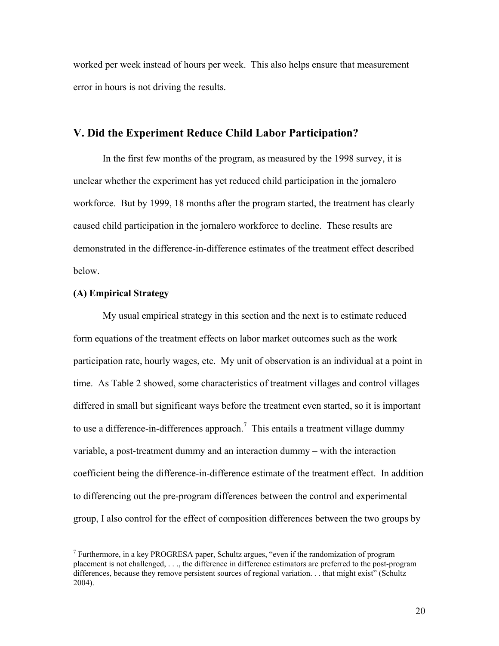worked per week instead of hours per week. This also helps ensure that measurement error in hours is not driving the results.

## **V. Did the Experiment Reduce Child Labor Participation?**

 In the first few months of the program, as measured by the 1998 survey, it is unclear whether the experiment has yet reduced child participation in the jornalero workforce. But by 1999, 18 months after the program started, the treatment has clearly caused child participation in the jornalero workforce to decline. These results are demonstrated in the difference-in-difference estimates of the treatment effect described below.

## **(A) Empirical Strategy**

<u>.</u>

My usual empirical strategy in this section and the next is to estimate reduced form equations of the treatment effects on labor market outcomes such as the work participation rate, hourly wages, etc. My unit of observation is an individual at a point in time. As Table 2 showed, some characteristics of treatment villages and control villages differed in small but significant ways before the treatment even started, so it is important to use a difference-in-differences approach.<sup>7</sup> This entails a treatment village dummy variable, a post-treatment dummy and an interaction dummy – with the interaction coefficient being the difference-in-difference estimate of the treatment effect. In addition to differencing out the pre-program differences between the control and experimental group, I also control for the effect of composition differences between the two groups by

<sup>&</sup>lt;sup>7</sup> Furthermore, in a key PROGRESA paper, Schultz argues, "even if the randomization of program placement is not challenged, . . ., the difference in difference estimators are preferred to the post-program differences, because they remove persistent sources of regional variation. . . that might exist" (Schultz 2004).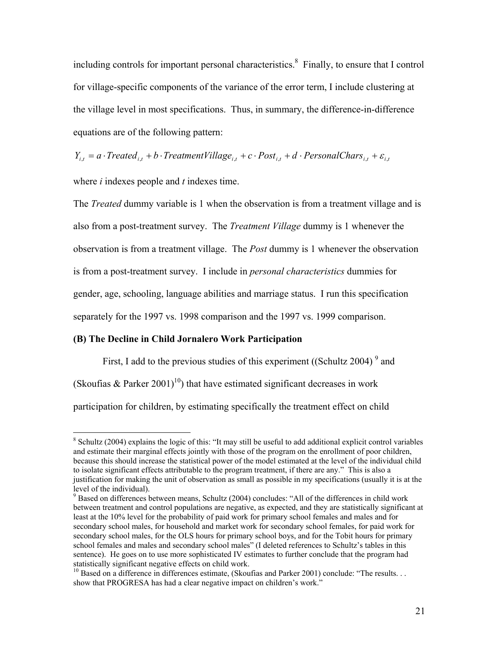including controls for important personal characteristics.<sup>8</sup> Finally, to ensure that I control for village-specific components of the variance of the error term, I include clustering at the village level in most specifications. Thus, in summary, the difference-in-difference equations are of the following pattern:

 $Y_{i,t} = a \cdot Treated_{i,t} + b \cdot TreatmentVillage_{i,t} + c \cdot Post_{i,t} + d \cdot PersonalChars_{i,t} + \varepsilon_{i,t}$ 

where *i* indexes people and *t* indexes time.

1

The *Treated* dummy variable is 1 when the observation is from a treatment village and is also from a post-treatment survey. The *Treatment Village* dummy is 1 whenever the observation is from a treatment village. The *Post* dummy is 1 whenever the observation is from a post-treatment survey. I include in *personal characteristics* dummies for gender, age, schooling, language abilities and marriage status. I run this specification separately for the 1997 vs. 1998 comparison and the 1997 vs. 1999 comparison.

#### **(B) The Decline in Child Jornalero Work Participation**

First, I add to the previous studies of this experiment ((Schultz 2004)<sup>9</sup> and (Skoufias & Parker 2001)<sup>10</sup>) that have estimated significant decreases in work participation for children, by estimating specifically the treatment effect on child

 $8$  Schultz (2004) explains the logic of this: "It may still be useful to add additional explicit control variables and estimate their marginal effects jointly with those of the program on the enrollment of poor children, because this should increase the statistical power of the model estimated at the level of the individual child to isolate significant effects attributable to the program treatment, if there are any." This is also a justification for making the unit of observation as small as possible in my specifications (usually it is at the level of the individual).

<sup>&</sup>lt;sup>9</sup> Based on differences between means, Schultz (2004) concludes: "All of the differences in child work between treatment and control populations are negative, as expected, and they are statistically significant at least at the 10% level for the probability of paid work for primary school females and males and for secondary school males, for household and market work for secondary school females, for paid work for secondary school males, for the OLS hours for primary school boys, and for the Tobit hours for primary school females and males and secondary school males" (I deleted references to Schultz's tables in this sentence). He goes on to use more sophisticated IV estimates to further conclude that the program had statistically significant negative effects on child work.

<sup>&</sup>lt;sup>10</sup> Based on a difference in differences estimate, (Skoufias and Parker 2001) conclude: "The results. . . show that PROGRESA has had a clear negative impact on children's work."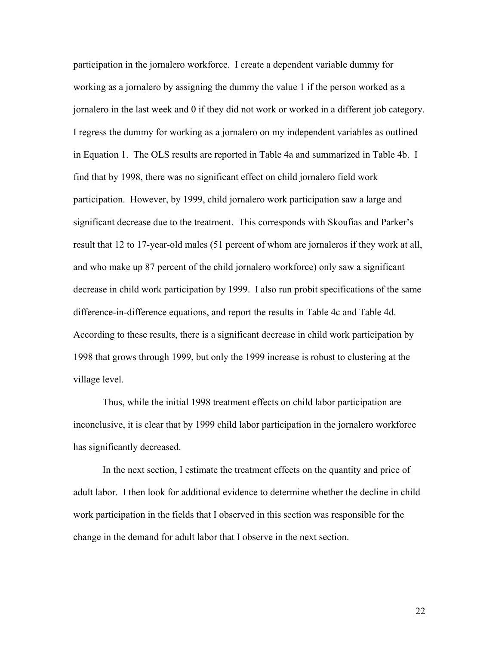participation in the jornalero workforce. I create a dependent variable dummy for working as a jornalero by assigning the dummy the value 1 if the person worked as a jornalero in the last week and 0 if they did not work or worked in a different job category. I regress the dummy for working as a jornalero on my independent variables as outlined in Equation 1. The OLS results are reported in Table 4a and summarized in Table 4b. I find that by 1998, there was no significant effect on child jornalero field work participation. However, by 1999, child jornalero work participation saw a large and significant decrease due to the treatment. This corresponds with Skoufias and Parker's result that 12 to 17-year-old males (51 percent of whom are jornaleros if they work at all, and who make up 87 percent of the child jornalero workforce) only saw a significant decrease in child work participation by 1999. I also run probit specifications of the same difference-in-difference equations, and report the results in Table 4c and Table 4d. According to these results, there is a significant decrease in child work participation by 1998 that grows through 1999, but only the 1999 increase is robust to clustering at the village level.

Thus, while the initial 1998 treatment effects on child labor participation are inconclusive, it is clear that by 1999 child labor participation in the jornalero workforce has significantly decreased.

In the next section, I estimate the treatment effects on the quantity and price of adult labor. I then look for additional evidence to determine whether the decline in child work participation in the fields that I observed in this section was responsible for the change in the demand for adult labor that I observe in the next section.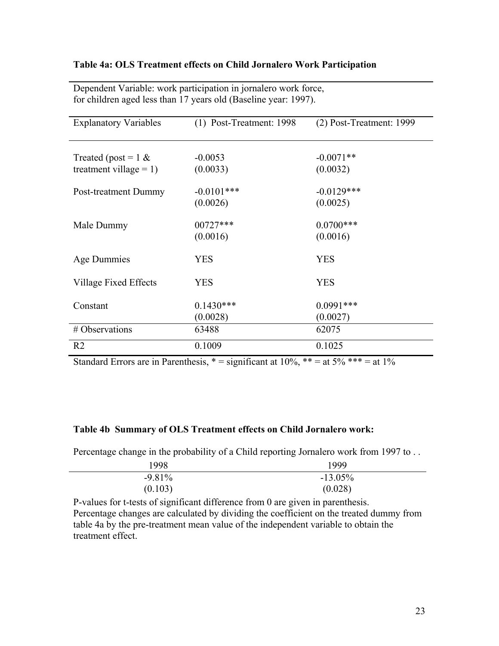## **Table 4a: OLS Treatment effects on Child Jornalero Work Participation**

| <b>Explanatory Variables</b>                        | $(1)$ Post-Treatment: 1998 | $(2)$ Post-Treatment: 1999 |
|-----------------------------------------------------|----------------------------|----------------------------|
| Treated (post = $1 \&$<br>treatment village = $1$ ) | $-0.0053$<br>(0.0033)      | $-0.0071**$<br>(0.0032)    |
| Post-treatment Dummy                                | $-0.0101***$<br>(0.0026)   | $-0.0129***$<br>(0.0025)   |
| Male Dummy                                          | 00727***<br>(0.0016)       | $0.0700$ ***<br>(0.0016)   |
| Age Dummies                                         | <b>YES</b>                 | <b>YES</b>                 |
| Village Fixed Effects                               | <b>YES</b>                 | <b>YES</b>                 |
| Constant                                            | $0.1430***$<br>(0.0028)    | $0.0991***$<br>(0.0027)    |
| # Observations                                      | 63488                      | 62075                      |
| R <sub>2</sub>                                      | 0.1009                     | 0.1025                     |

Dependent Variable: work participation in jornalero work force, for children aged less than 17 years old (Baseline year: 1997).

Standard Errors are in Parenthesis,  $* =$  significant at 10%,  $** =$  at 5%  $** =$  at 1%

## **Table 4b Summary of OLS Treatment effects on Child Jornalero work:**

Percentage change in the probability of a Child reporting Jornalero work from 1997 to . .

| 1998     | 1999      |
|----------|-----------|
| $-9.81%$ | $-13.05%$ |
| (0.103)  | (0.028)   |

P-values for t-tests of significant difference from 0 are given in parenthesis. Percentage changes are calculated by dividing the coefficient on the treated dummy from table 4a by the pre-treatment mean value of the independent variable to obtain the treatment effect.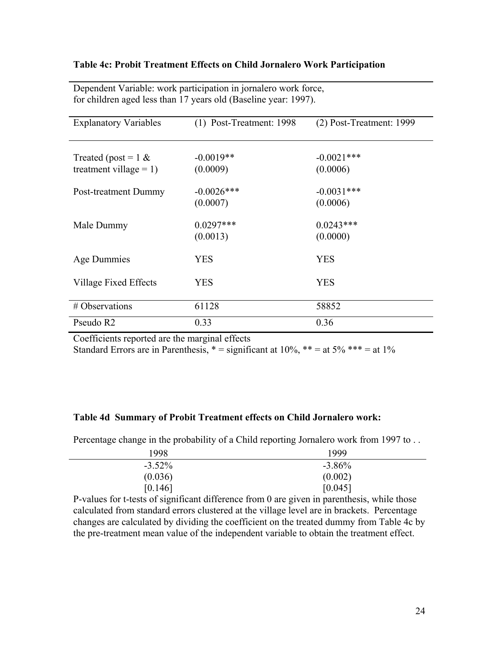## **Table 4c: Probit Treatment Effects on Child Jornalero Work Participation**

| <b>Explanatory Variables</b>                        | (1) Post-Treatment: 1998 | $(2)$ Post-Treatment: 1999 |
|-----------------------------------------------------|--------------------------|----------------------------|
| Treated (post = $1 \&$<br>treatment village $= 1$ ) | $-0.0019**$<br>(0.0009)  | $-0.0021$ ***<br>(0.0006)  |
|                                                     |                          |                            |
| Post-treatment Dummy                                | $-0.0026$ ***            | $-0.0031***$               |
|                                                     | (0.0007)                 | (0.0006)                   |
| Male Dummy                                          | $0.0297***$<br>(0.0013)  | $0.0243***$<br>(0.0000)    |
| Age Dummies                                         | <b>YES</b>               | <b>YES</b>                 |
| Village Fixed Effects                               | <b>YES</b>               | <b>YES</b>                 |
| # Observations                                      | 61128                    | 58852                      |
| Pseudo R2                                           | 0.33                     | 0.36                       |

Dependent Variable: work participation in jornalero work force, for children aged less than 17 years old (Baseline year: 1997).

Coefficients reported are the marginal effects

Standard Errors are in Parenthesis,  $* =$  significant at 10%,  $** =$  at 5%  $*** =$  at 1%

#### **Table 4d Summary of Probit Treatment effects on Child Jornalero work:**

Percentage change in the probability of a Child reporting Jornalero work from 1997 to ...

| 1998      | 1999      |
|-----------|-----------|
| $-3.52\%$ | $-3.86\%$ |
| (0.036)   | (0.002)   |
| [0.146]   | [0.045]   |

P-values for t-tests of significant difference from 0 are given in parenthesis, while those calculated from standard errors clustered at the village level are in brackets. Percentage changes are calculated by dividing the coefficient on the treated dummy from Table 4c by the pre-treatment mean value of the independent variable to obtain the treatment effect.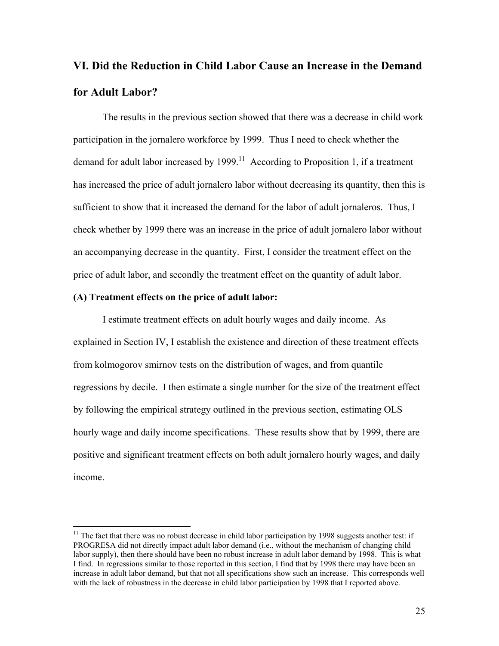# **VI. Did the Reduction in Child Labor Cause an Increase in the Demand for Adult Labor?**

The results in the previous section showed that there was a decrease in child work participation in the jornalero workforce by 1999. Thus I need to check whether the demand for adult labor increased by  $1999$ .<sup>11</sup> According to Proposition 1, if a treatment has increased the price of adult jornalero labor without decreasing its quantity, then this is sufficient to show that it increased the demand for the labor of adult jornaleros. Thus, I check whether by 1999 there was an increase in the price of adult jornalero labor without an accompanying decrease in the quantity. First, I consider the treatment effect on the price of adult labor, and secondly the treatment effect on the quantity of adult labor.

#### **(A) Treatment effects on the price of adult labor:**

 $\overline{a}$ 

I estimate treatment effects on adult hourly wages and daily income. As explained in Section IV, I establish the existence and direction of these treatment effects from kolmogorov smirnov tests on the distribution of wages, and from quantile regressions by decile. I then estimate a single number for the size of the treatment effect by following the empirical strategy outlined in the previous section, estimating OLS hourly wage and daily income specifications. These results show that by 1999, there are positive and significant treatment effects on both adult jornalero hourly wages, and daily income.

 $11$  The fact that there was no robust decrease in child labor participation by 1998 suggests another test: if PROGRESA did not directly impact adult labor demand (i.e., without the mechanism of changing child labor supply), then there should have been no robust increase in adult labor demand by 1998. This is what I find. In regressions similar to those reported in this section, I find that by 1998 there may have been an increase in adult labor demand, but that not all specifications show such an increase. This corresponds well with the lack of robustness in the decrease in child labor participation by 1998 that I reported above.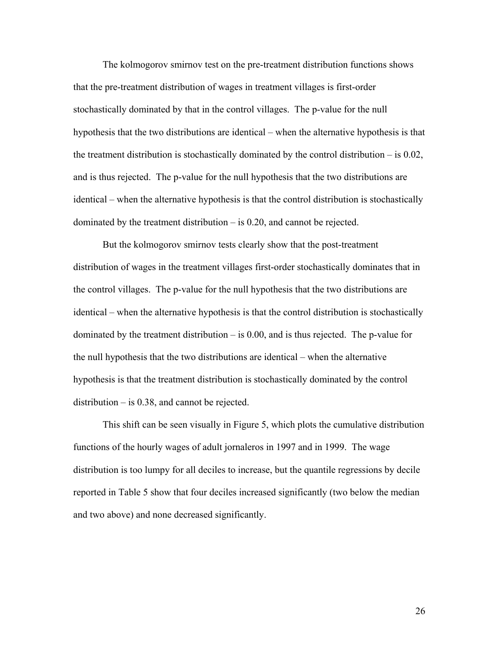The kolmogorov smirnov test on the pre-treatment distribution functions shows that the pre-treatment distribution of wages in treatment villages is first-order stochastically dominated by that in the control villages. The p-value for the null hypothesis that the two distributions are identical – when the alternative hypothesis is that the treatment distribution is stochastically dominated by the control distribution  $-$  is 0.02, and is thus rejected. The p-value for the null hypothesis that the two distributions are identical – when the alternative hypothesis is that the control distribution is stochastically dominated by the treatment distribution – is 0.20, and cannot be rejected.

But the kolmogorov smirnov tests clearly show that the post-treatment distribution of wages in the treatment villages first-order stochastically dominates that in the control villages. The p-value for the null hypothesis that the two distributions are identical – when the alternative hypothesis is that the control distribution is stochastically dominated by the treatment distribution  $-$  is 0.00, and is thus rejected. The p-value for the null hypothesis that the two distributions are identical – when the alternative hypothesis is that the treatment distribution is stochastically dominated by the control distribution – is 0.38, and cannot be rejected.

This shift can be seen visually in Figure 5, which plots the cumulative distribution functions of the hourly wages of adult jornaleros in 1997 and in 1999. The wage distribution is too lumpy for all deciles to increase, but the quantile regressions by decile reported in Table 5 show that four deciles increased significantly (two below the median and two above) and none decreased significantly.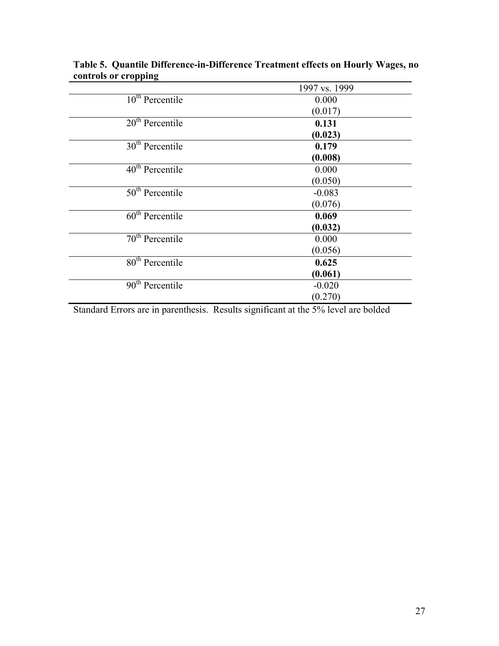|                   | 1997 vs. 1999 |
|-------------------|---------------|
| $10th$ Percentile | 0.000         |
|                   | (0.017)       |
| $20th$ Percentile | 0.131         |
|                   | (0.023)       |
| $30th$ Percentile | 0.179         |
|                   | (0.008)       |
| $40th$ Percentile | 0.000         |
|                   | (0.050)       |
| $50th$ Percentile | $-0.083$      |
|                   | (0.076)       |
| $60th$ Percentile | 0.069         |
|                   | (0.032)       |
| $70th$ Percentile | 0.000         |
|                   | (0.056)       |
| $80th$ Percentile | 0.625         |
|                   | (0.061)       |
| $90th$ Percentile | $-0.020$      |
|                   | (0.270)       |

**Table 5. Quantile Difference-in-Difference Treatment effects on Hourly Wages, no controls or cropping** 

Standard Errors are in parenthesis. Results significant at the 5% level are bolded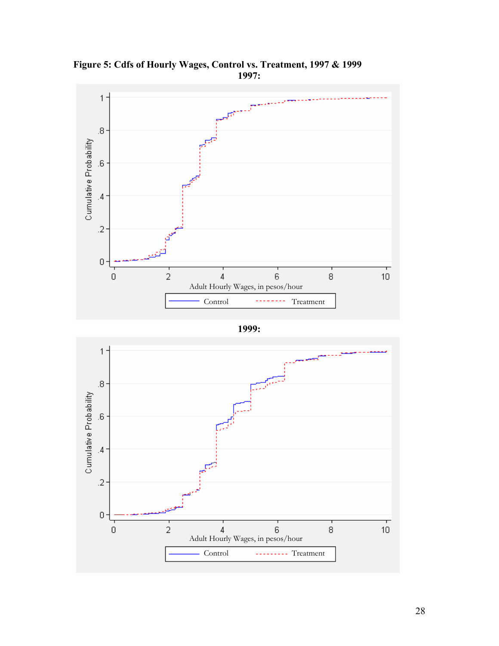

**Figure 5: Cdfs of Hourly Wages, Control vs. Treatment, 1997 & 1999 1997:** 

**1999:** 

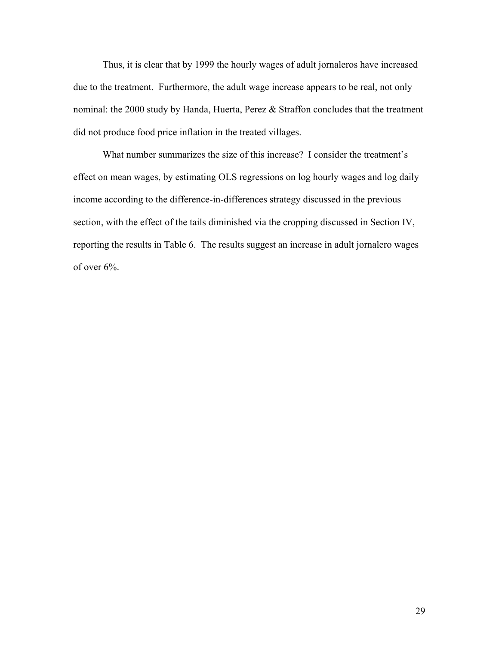Thus, it is clear that by 1999 the hourly wages of adult jornaleros have increased due to the treatment. Furthermore, the adult wage increase appears to be real, not only nominal: the 2000 study by Handa, Huerta, Perez & Straffon concludes that the treatment did not produce food price inflation in the treated villages.

 What number summarizes the size of this increase? I consider the treatment's effect on mean wages, by estimating OLS regressions on log hourly wages and log daily income according to the difference-in-differences strategy discussed in the previous section, with the effect of the tails diminished via the cropping discussed in Section IV, reporting the results in Table 6. The results suggest an increase in adult jornalero wages of over 6%.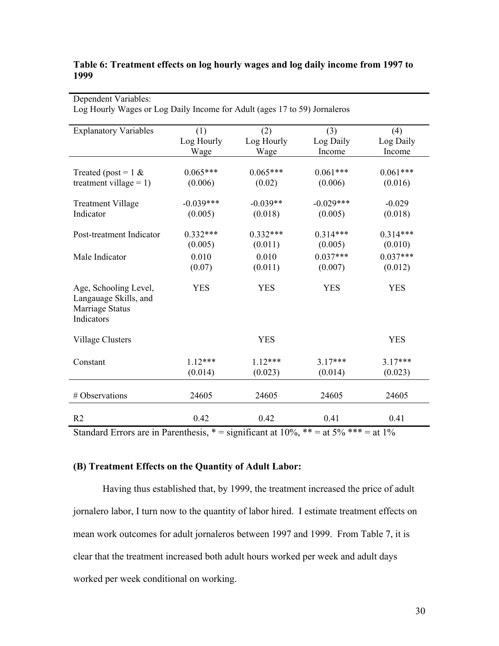## **Table 6: Treatment effects on log hourly wages and log daily income from 1997 to 1999**

| <b>Explanatory Variables</b>                                                    | (1)         | (2)        | (3)         | (4)        |
|---------------------------------------------------------------------------------|-------------|------------|-------------|------------|
|                                                                                 | Log Hourly  | Log Hourly | Log Daily   | Log Daily  |
|                                                                                 | Wage        | Wage       | Income      | Income     |
| Treated (post = $1 \&$                                                          | $0.065***$  | $0.065***$ | $0.061***$  | $0.061***$ |
| treatment village = $1$ )                                                       | (0.006)     | (0.02)     | (0.006)     | (0.016)    |
| <b>Treatment Village</b>                                                        | $-0.039***$ | $-0.039**$ | $-0.029***$ | $-0.029$   |
| Indicator                                                                       | (0.005)     | (0.018)    | (0.005)     | (0.018)    |
| Post-treatment Indicator                                                        | $0.332***$  | $0.332***$ | $0.314***$  | $0.314***$ |
|                                                                                 | (0.005)     | (0.011)    | (0.005)     | (0.010)    |
| Male Indicator                                                                  | 0.010       | 0.010      | $0.037***$  | $0.037***$ |
|                                                                                 | (0.07)      | (0.011)    | (0.007)     | (0.012)    |
| Age, Schooling Level,<br>Langauage Skills, and<br>Marriage Status<br>Indicators | <b>YES</b>  | <b>YES</b> | <b>YES</b>  | <b>YES</b> |
| <b>Village Clusters</b>                                                         |             | <b>YES</b> |             | <b>YES</b> |
| Constant                                                                        | $1.12***$   | $1.12***$  | $3.17***$   | $3.17***$  |
|                                                                                 | (0.014)     | (0.023)    | (0.014)     | (0.023)    |
| # Observations                                                                  | 24605       | 24605      | 24605       | 24605      |
| R <sub>2</sub>                                                                  | 0.42        | 0.42       | 0.41        | 0.41       |

Dependent Variables: Log Hourly Wages or Log Daily Income for Adult (ages 17 to 59) Jornaleros

Standard Errors are in Parenthesis,  $* =$  significant at 10%,  $** =$  at 5%  $*** =$  at 1%

## **(B) Treatment Effects on the Quantity of Adult Labor:**

Having thus established that, by 1999, the treatment increased the price of adult jornalero labor, I turn now to the quantity of labor hired. I estimate treatment effects on mean work outcomes for adult jornaleros between 1997 and 1999. From Table 7, it is clear that the treatment increased both adult hours worked per week and adult days worked per week conditional on working.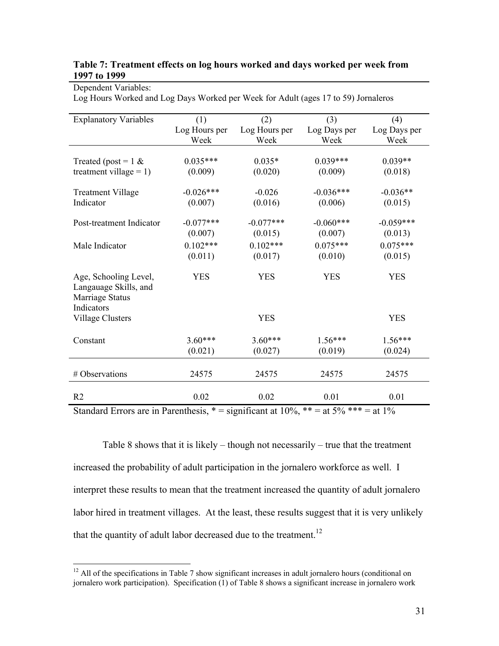#### **Table 7: Treatment effects on log hours worked and days worked per week from 1997 to 1999**

| <b>Explanatory Variables</b> | (1)           | (2)           | (3)          | (4)          |
|------------------------------|---------------|---------------|--------------|--------------|
|                              | Log Hours per | Log Hours per | Log Days per | Log Days per |
|                              | Week          | Week          | Week         | Week         |
|                              |               |               |              |              |
| Treated (post = $1 \&$       | $0.035***$    | $0.035*$      | $0.039***$   | $0.039**$    |
| treatment village = $1$ )    | (0.009)       | (0.020)       | (0.009)      | (0.018)      |
|                              |               |               |              |              |
| <b>Treatment Village</b>     | $-0.026***$   | $-0.026$      | $-0.036***$  | $-0.036**$   |
| Indicator                    | (0.007)       | (0.016)       | (0.006)      | (0.015)      |
|                              |               |               |              |              |
| Post-treatment Indicator     | $-0.077***$   | $-0.077***$   | $-0.060***$  | $-0.059***$  |
|                              | (0.007)       | (0.015)       | (0.007)      | (0.013)      |
| Male Indicator               | $0.102***$    | $0.102***$    | $0.075***$   | $0.075***$   |
|                              | (0.011)       | (0.017)       | (0.010)      | (0.015)      |
|                              |               |               |              |              |
| Age, Schooling Level,        | <b>YES</b>    | <b>YES</b>    | <b>YES</b>   | <b>YES</b>   |
| Langauage Skills, and        |               |               |              |              |
| Marriage Status              |               |               |              |              |
| Indicators                   |               |               |              |              |
| <b>Village Clusters</b>      |               | <b>YES</b>    |              | <b>YES</b>   |
|                              |               |               |              |              |
| Constant                     | $3.60***$     | $3.60***$     | $1.56***$    | $1.56***$    |
|                              | (0.021)       | (0.027)       | (0.019)      | (0.024)      |
|                              |               |               |              |              |
| # Observations               | 24575         | 24575         | 24575        | 24575        |
|                              |               |               |              |              |
|                              |               |               |              |              |
| R <sub>2</sub>               | 0.02          | 0.02          | 0.01         | 0.01         |

Dependent Variables: Log Hours Worked and Log Days Worked per Week for Adult (ages 17 to 59) Jornaleros

Standard Errors are in Parenthesis,  $* =$  significant at 10%,  $** =$  at 5%  $*** =$  at 1%

Table 8 shows that it is likely – though not necessarily – true that the treatment increased the probability of adult participation in the jornalero workforce as well. I interpret these results to mean that the treatment increased the quantity of adult jornalero labor hired in treatment villages. At the least, these results suggest that it is very unlikely that the quantity of adult labor decreased due to the treatment.<sup>12</sup>

 $\overline{a}$ 

 $12$  All of the specifications in Table 7 show significant increases in adult jornalero hours (conditional on jornalero work participation). Specification (1) of Table 8 shows a significant increase in jornalero work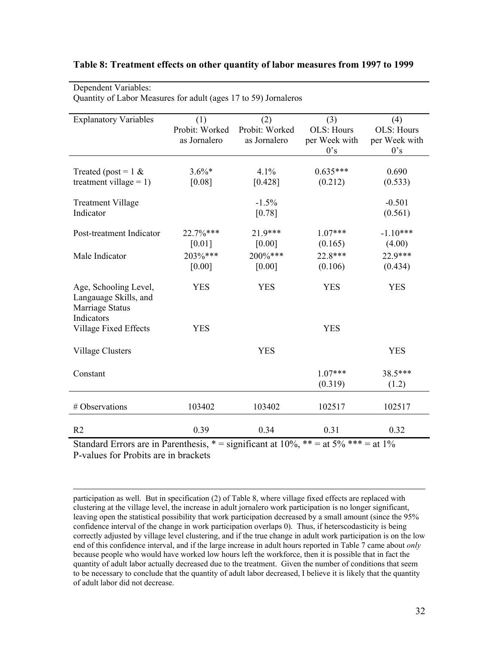| Quantity of Labor Measures for adult (ages 17 to 59) Jornaleros                 |                                       |                                       |                                           |                                                  |  |
|---------------------------------------------------------------------------------|---------------------------------------|---------------------------------------|-------------------------------------------|--------------------------------------------------|--|
| <b>Explanatory Variables</b>                                                    | (1)<br>Probit: Worked<br>as Jornalero | (2)<br>Probit: Worked<br>as Jornalero | (3)<br>OLS: Hours<br>per Week with<br>0's | (4)<br><b>OLS: Hours</b><br>per Week with<br>0's |  |
| Treated (post = $1 \&$<br>treatment village = $1$ )                             | $3.6\%*$<br>[0.08]                    | 4.1%<br>[0.428]                       | $0.635***$<br>(0.212)                     | 0.690<br>(0.533)                                 |  |
| <b>Treatment Village</b><br>Indicator                                           |                                       | $-1.5%$<br>[0.78]                     |                                           | $-0.501$<br>(0.561)                              |  |
| Post-treatment Indicator                                                        | 22.7%***<br>[0.01]                    | 21.9***<br>[0.00]                     | $1.07***$<br>(0.165)                      | $-1.10***$<br>(4.00)                             |  |
| Male Indicator                                                                  | 203%***<br>[0.00]                     | 200%***<br>[0.00]                     | 22.8***<br>(0.106)                        | 22.9***<br>(0.434)                               |  |
| Age, Schooling Level,<br>Langauage Skills, and<br>Marriage Status<br>Indicators | <b>YES</b>                            | <b>YES</b>                            | <b>YES</b>                                | <b>YES</b>                                       |  |
| <b>Village Fixed Effects</b>                                                    | <b>YES</b>                            |                                       | <b>YES</b>                                |                                                  |  |
| <b>Village Clusters</b>                                                         |                                       | <b>YES</b>                            |                                           | <b>YES</b>                                       |  |
| Constant                                                                        |                                       |                                       | $1.07***$<br>(0.319)                      | 38.5***<br>(1.2)                                 |  |
| # Observations                                                                  | 103402                                | 103402                                | 102517                                    | 102517                                           |  |
| R <sub>2</sub>                                                                  | 0.39                                  | 0.34                                  | 0.31                                      | 0.32                                             |  |

#### **Table 8: Treatment effects on other quantity of labor measures from 1997 to 1999**

Dependent Variables:

Standard Errors are in Parenthesis,  $* =$  significant at 10%,  $** =$  at 5%  $*** =$  at 1% P-values for Probits are in brackets

 participation as well. But in specification (2) of Table 8, where village fixed effects are replaced with clustering at the village level, the increase in adult jornalero work participation is no longer significant, leaving open the statistical possibility that work participation decreased by a small amount (since the 95% confidence interval of the change in work participation overlaps 0). Thus, if heterscodasticity is being correctly adjusted by village level clustering, and if the true change in adult work participation is on the low end of this confidence interval, and if the large increase in adult hours reported in Table 7 came about *only* because people who would have worked low hours left the workforce, then it is possible that in fact the quantity of adult labor actually decreased due to the treatment. Given the number of conditions that seem to be necessary to conclude that the quantity of adult labor decreased, I believe it is likely that the quantity of adult labor did not decrease.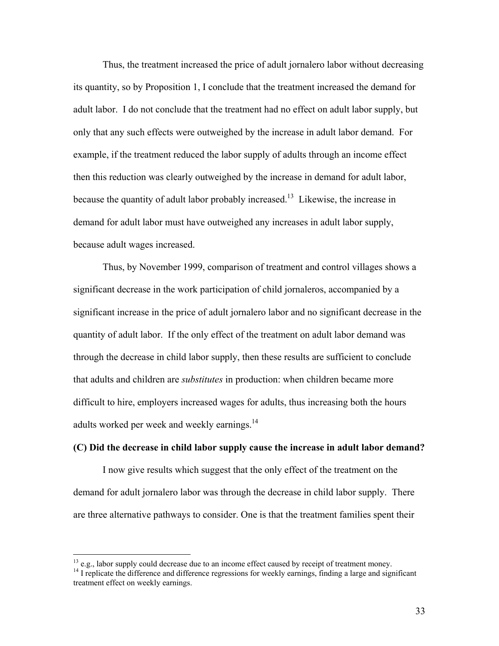Thus, the treatment increased the price of adult jornalero labor without decreasing its quantity, so by Proposition 1, I conclude that the treatment increased the demand for adult labor. I do not conclude that the treatment had no effect on adult labor supply, but only that any such effects were outweighed by the increase in adult labor demand. For example, if the treatment reduced the labor supply of adults through an income effect then this reduction was clearly outweighed by the increase in demand for adult labor, because the quantity of adult labor probably increased.<sup>13</sup> Likewise, the increase in demand for adult labor must have outweighed any increases in adult labor supply, because adult wages increased.

Thus, by November 1999, comparison of treatment and control villages shows a significant decrease in the work participation of child jornaleros, accompanied by a significant increase in the price of adult jornalero labor and no significant decrease in the quantity of adult labor. If the only effect of the treatment on adult labor demand was through the decrease in child labor supply, then these results are sufficient to conclude that adults and children are *substitutes* in production: when children became more difficult to hire, employers increased wages for adults, thus increasing both the hours adults worked per week and weekly earnings.<sup>14</sup>

#### **(C) Did the decrease in child labor supply cause the increase in adult labor demand?**

I now give results which suggest that the only effect of the treatment on the demand for adult jornalero labor was through the decrease in child labor supply. There are three alternative pathways to consider. One is that the treatment families spent their

<sup>&</sup>lt;sup>13</sup> e.g., labor supply could decrease due to an income effect caused by receipt of treatment money.<br><sup>14</sup> I replicate the difference and difference regressions for weekly earnings, finding a large and significant treatment effect on weekly earnings.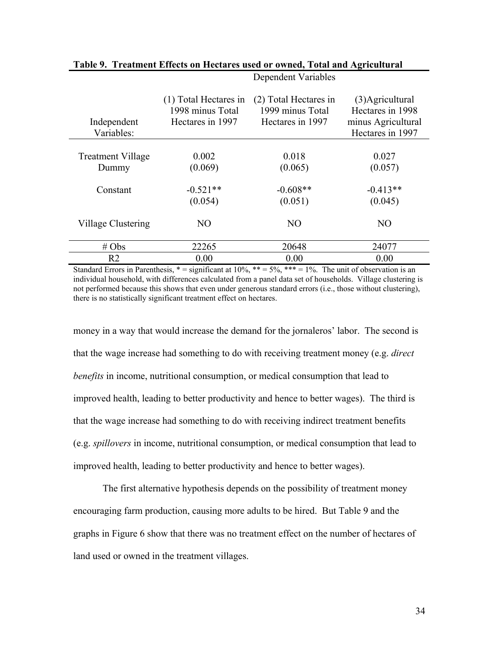| Independent<br>Variables: | (1) Total Hectares in<br>1998 minus Total<br>Hectares in 1997 | (2) Total Hectares in<br>1999 minus Total<br>Hectares in 1997 | (3) Agricultural<br>Hectares in 1998<br>minus Agricultural<br>Hectares in 1997 |
|---------------------------|---------------------------------------------------------------|---------------------------------------------------------------|--------------------------------------------------------------------------------|
| <b>Treatment Village</b>  | 0.002                                                         | 0.018                                                         | 0.027                                                                          |
| Dummy                     | (0.069)                                                       | (0.065)                                                       | (0.057)                                                                        |
| Constant                  | $-0.521**$<br>(0.054)                                         | $-0.608**$<br>(0.051)                                         | $-0.413**$<br>(0.045)                                                          |
| Village Clustering        | N <sub>O</sub>                                                | N <sub>O</sub>                                                | N <sub>O</sub>                                                                 |
| $# \, \text{Obs}$         | 22265                                                         | 20648                                                         | 24077                                                                          |
| R <sub>2</sub>            | 0.00                                                          | 0.00                                                          | 0.00                                                                           |

#### **Table 9. Treatment Effects on Hectares used or owned, Total and Agricultural**  Dependent Variables

Standard Errors in Parenthesis,  $* =$  significant at 10%,  $** = 5\%$ ,  $*** = 1\%$ . The unit of observation is an individual household, with differences calculated from a panel data set of households. Village clustering is not performed because this shows that even under generous standard errors (i.e., those without clustering), there is no statistically significant treatment effect on hectares.

money in a way that would increase the demand for the jornaleros' labor. The second is that the wage increase had something to do with receiving treatment money (e.g. *direct benefits* in income, nutritional consumption, or medical consumption that lead to improved health, leading to better productivity and hence to better wages). The third is that the wage increase had something to do with receiving indirect treatment benefits (e.g. *spillovers* in income, nutritional consumption, or medical consumption that lead to improved health, leading to better productivity and hence to better wages).

The first alternative hypothesis depends on the possibility of treatment money encouraging farm production, causing more adults to be hired. But Table 9 and the graphs in Figure 6 show that there was no treatment effect on the number of hectares of land used or owned in the treatment villages.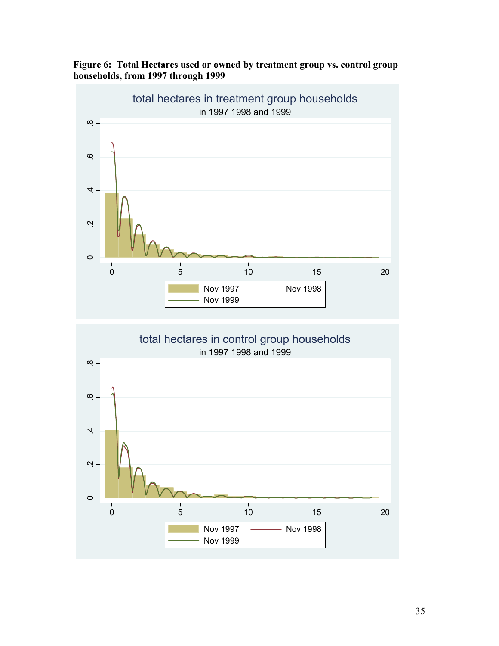

**Figure 6: Total Hectares used or owned by treatment group vs. control group households, from 1997 through 1999** 

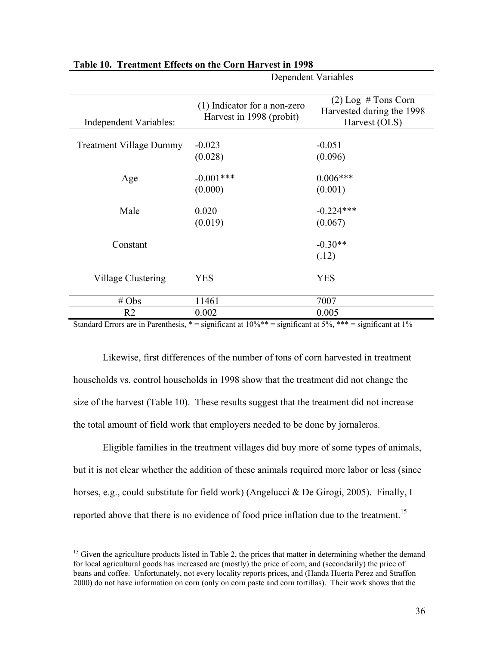|                                                                                     |                                                            | Dependent Variables                                                 |
|-------------------------------------------------------------------------------------|------------------------------------------------------------|---------------------------------------------------------------------|
| Independent Variables:                                                              | (1) Indicator for a non-zero<br>Harvest in 1998 (probit)   | $(2)$ Log # Tons Corn<br>Harvested during the 1998<br>Harvest (OLS) |
| <b>Treatment Village Dummy</b>                                                      | $-0.023$<br>(0.028)                                        | $-0.051$<br>(0.096)                                                 |
| Age                                                                                 | $-0.001***$<br>(0.000)                                     | $0.006***$<br>(0.001)                                               |
| Male                                                                                | 0.020<br>(0.019)                                           | $-0.224***$<br>(0.067)                                              |
| Constant                                                                            |                                                            | $-0.30**$<br>(.12)                                                  |
| Village Clustering                                                                  | YES                                                        | <b>YES</b>                                                          |
| $# \, Obs$                                                                          | 11461                                                      | 7007                                                                |
| R <sub>2</sub><br><b>Contract Contract Street</b><br>$\cdot$ n<br>$1 \quad 1 \quad$ | 0.002<br>$\cdot$ $\sim$<br>$\cdot$ $\sim$<br>$1.100 \pm 1$ | 0.005<br>1.70/444                                                   |

#### **Table 10. Treatment Effects on the Corn Harvest in 1998**

Standard Errors are in Parenthesis,  $* =$  significant at  $10\%$  \*\* = significant at  $5\%$ , \*\*\* = significant at  $1\%$ 

Likewise, first differences of the number of tons of corn harvested in treatment households vs. control households in 1998 show that the treatment did not change the size of the harvest (Table 10). These results suggest that the treatment did not increase the total amount of field work that employers needed to be done by jornaleros.

Eligible families in the treatment villages did buy more of some types of animals, but it is not clear whether the addition of these animals required more labor or less (since horses, e.g., could substitute for field work) (Angelucci & De Girogi, 2005). Finally, I reported above that there is no evidence of food price inflation due to the treatment.<sup>15</sup>

<u>.</u>

<sup>&</sup>lt;sup>15</sup> Given the agriculture products listed in Table 2, the prices that matter in determining whether the demand for local agricultural goods has increased are (mostly) the price of corn, and (secondarily) the price of beans and coffee. Unfortunately, not every locality reports prices, and (Handa Huerta Perez and Straffon 2000) do not have information on corn (only on corn paste and corn tortillas). Their work shows that the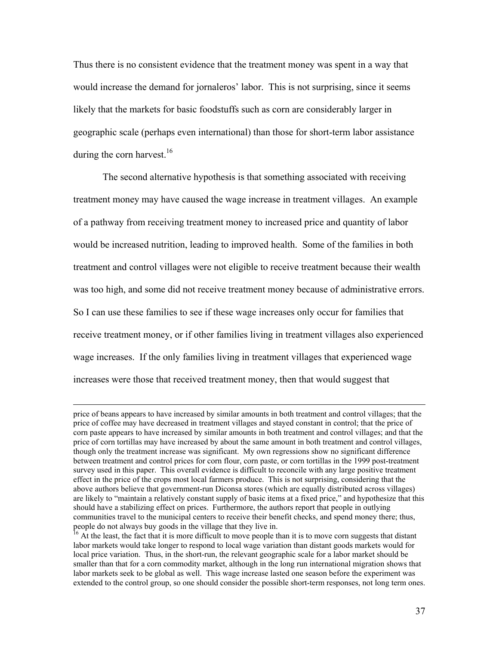Thus there is no consistent evidence that the treatment money was spent in a way that would increase the demand for jornaleros' labor. This is not surprising, since it seems likely that the markets for basic foodstuffs such as corn are considerably larger in geographic scale (perhaps even international) than those for short-term labor assistance during the corn harvest.<sup>16</sup>

 The second alternative hypothesis is that something associated with receiving treatment money may have caused the wage increase in treatment villages. An example of a pathway from receiving treatment money to increased price and quantity of labor would be increased nutrition, leading to improved health. Some of the families in both treatment and control villages were not eligible to receive treatment because their wealth was too high, and some did not receive treatment money because of administrative errors. So I can use these families to see if these wage increases only occur for families that receive treatment money, or if other families living in treatment villages also experienced wage increases. If the only families living in treatment villages that experienced wage increases were those that received treatment money, then that would suggest that

price of beans appears to have increased by similar amounts in both treatment and control villages; that the price of coffee may have decreased in treatment villages and stayed constant in control; that the price of corn paste appears to have increased by similar amounts in both treatment and control villages; and that the price of corn tortillas may have increased by about the same amount in both treatment and control villages, though only the treatment increase was significant. My own regressions show no significant difference between treatment and control prices for corn flour, corn paste, or corn tortillas in the 1999 post-treatment survey used in this paper. This overall evidence is difficult to reconcile with any large positive treatment effect in the price of the crops most local farmers produce. This is not surprising, considering that the above authors believe that government-run Diconsa stores (which are equally distributed across villages) are likely to "maintain a relatively constant supply of basic items at a fixed price," and hypothesize that this should have a stabilizing effect on prices. Furthermore, the authors report that people in outlying communities travel to the municipal centers to receive their benefit checks, and spend money there; thus, people do not always buy goods in the village that they live in.

<sup>&</sup>lt;sup>16</sup> At the least, the fact that it is more difficult to move people than it is to move corn suggests that distant labor markets would take longer to respond to local wage variation than distant goods markets would for local price variation. Thus, in the short-run, the relevant geographic scale for a labor market should be smaller than that for a corn commodity market, although in the long run international migration shows that labor markets seek to be global as well. This wage increase lasted one season before the experiment was extended to the control group, so one should consider the possible short-term responses, not long term ones.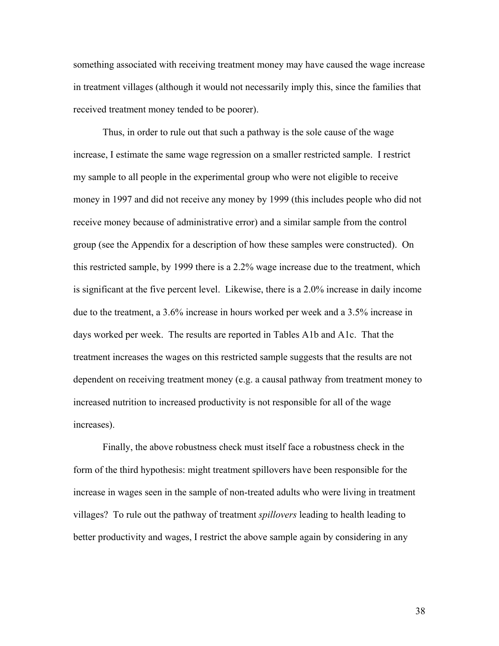something associated with receiving treatment money may have caused the wage increase in treatment villages (although it would not necessarily imply this, since the families that received treatment money tended to be poorer).

Thus, in order to rule out that such a pathway is the sole cause of the wage increase, I estimate the same wage regression on a smaller restricted sample. I restrict my sample to all people in the experimental group who were not eligible to receive money in 1997 and did not receive any money by 1999 (this includes people who did not receive money because of administrative error) and a similar sample from the control group (see the Appendix for a description of how these samples were constructed). On this restricted sample, by 1999 there is a 2.2% wage increase due to the treatment, which is significant at the five percent level. Likewise, there is a 2.0% increase in daily income due to the treatment, a 3.6% increase in hours worked per week and a 3.5% increase in days worked per week. The results are reported in Tables A1b and A1c. That the treatment increases the wages on this restricted sample suggests that the results are not dependent on receiving treatment money (e.g. a causal pathway from treatment money to increased nutrition to increased productivity is not responsible for all of the wage increases).

Finally, the above robustness check must itself face a robustness check in the form of the third hypothesis: might treatment spillovers have been responsible for the increase in wages seen in the sample of non-treated adults who were living in treatment villages? To rule out the pathway of treatment *spillovers* leading to health leading to better productivity and wages, I restrict the above sample again by considering in any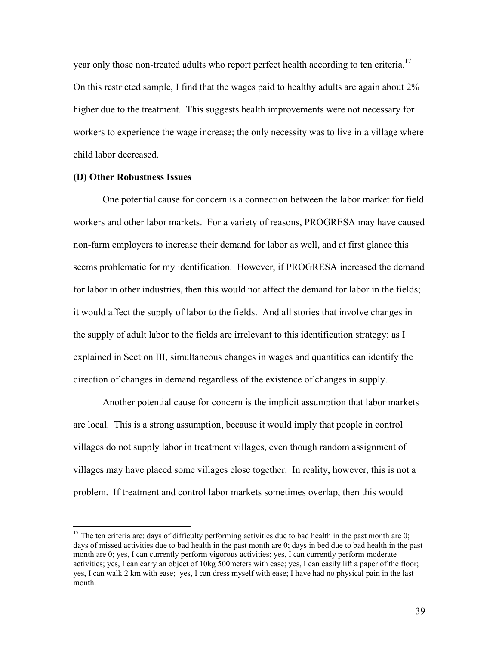year only those non-treated adults who report perfect health according to ten criteria.<sup>17</sup> On this restricted sample, I find that the wages paid to healthy adults are again about 2% higher due to the treatment. This suggests health improvements were not necessary for workers to experience the wage increase; the only necessity was to live in a village where child labor decreased.

#### **(D) Other Robustness Issues**

 $\overline{a}$ 

 One potential cause for concern is a connection between the labor market for field workers and other labor markets. For a variety of reasons, PROGRESA may have caused non-farm employers to increase their demand for labor as well, and at first glance this seems problematic for my identification. However, if PROGRESA increased the demand for labor in other industries, then this would not affect the demand for labor in the fields; it would affect the supply of labor to the fields. And all stories that involve changes in the supply of adult labor to the fields are irrelevant to this identification strategy: as I explained in Section III, simultaneous changes in wages and quantities can identify the direction of changes in demand regardless of the existence of changes in supply.

 Another potential cause for concern is the implicit assumption that labor markets are local. This is a strong assumption, because it would imply that people in control villages do not supply labor in treatment villages, even though random assignment of villages may have placed some villages close together. In reality, however, this is not a problem. If treatment and control labor markets sometimes overlap, then this would

 $17$  The ten criteria are: days of difficulty performing activities due to bad health in the past month are 0; days of missed activities due to bad health in the past month are 0; days in bed due to bad health in the past month are 0; yes, I can currently perform vigorous activities; yes, I can currently perform moderate activities; yes, I can carry an object of 10kg 500meters with ease; yes, I can easily lift a paper of the floor; yes, I can walk 2 km with ease; yes, I can dress myself with ease; I have had no physical pain in the last month.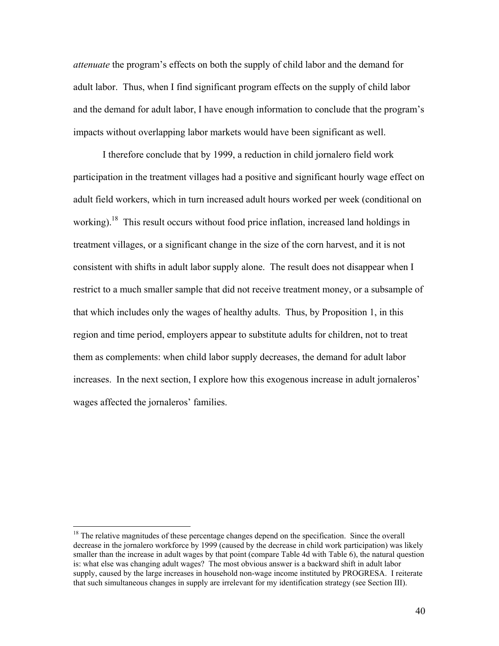*attenuate* the program's effects on both the supply of child labor and the demand for adult labor. Thus, when I find significant program effects on the supply of child labor and the demand for adult labor, I have enough information to conclude that the program's impacts without overlapping labor markets would have been significant as well.

 I therefore conclude that by 1999, a reduction in child jornalero field work participation in the treatment villages had a positive and significant hourly wage effect on adult field workers, which in turn increased adult hours worked per week (conditional on working).<sup>18</sup> This result occurs without food price inflation, increased land holdings in treatment villages, or a significant change in the size of the corn harvest, and it is not consistent with shifts in adult labor supply alone. The result does not disappear when I restrict to a much smaller sample that did not receive treatment money, or a subsample of that which includes only the wages of healthy adults. Thus, by Proposition 1, in this region and time period, employers appear to substitute adults for children, not to treat them as complements: when child labor supply decreases, the demand for adult labor increases. In the next section, I explore how this exogenous increase in adult jornaleros' wages affected the jornaleros' families.

 $\overline{a}$ 

 $18$ <sup>18</sup> The relative magnitudes of these percentage changes depend on the specification. Since the overall decrease in the jornalero workforce by 1999 (caused by the decrease in child work participation) was likely smaller than the increase in adult wages by that point (compare Table 4d with Table 6), the natural question is: what else was changing adult wages? The most obvious answer is a backward shift in adult labor supply, caused by the large increases in household non-wage income instituted by PROGRESA. I reiterate that such simultaneous changes in supply are irrelevant for my identification strategy (see Section III).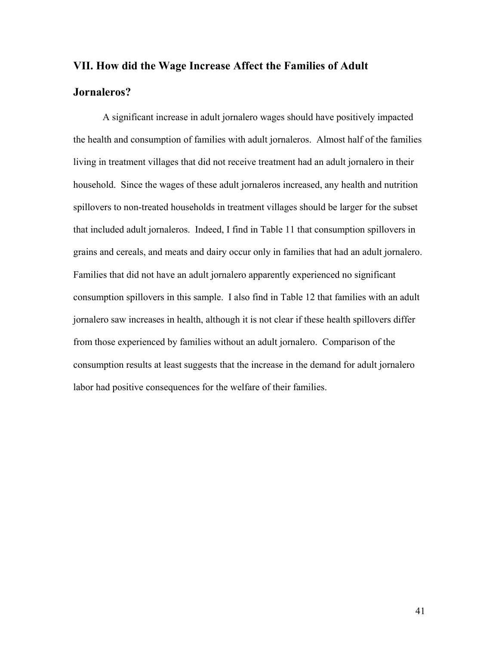# **VII. How did the Wage Increase Affect the Families of Adult Jornaleros?**

A significant increase in adult jornalero wages should have positively impacted the health and consumption of families with adult jornaleros. Almost half of the families living in treatment villages that did not receive treatment had an adult jornalero in their household. Since the wages of these adult jornaleros increased, any health and nutrition spillovers to non-treated households in treatment villages should be larger for the subset that included adult jornaleros. Indeed, I find in Table 11 that consumption spillovers in grains and cereals, and meats and dairy occur only in families that had an adult jornalero. Families that did not have an adult jornalero apparently experienced no significant consumption spillovers in this sample. I also find in Table 12 that families with an adult jornalero saw increases in health, although it is not clear if these health spillovers differ from those experienced by families without an adult jornalero. Comparison of the consumption results at least suggests that the increase in the demand for adult jornalero labor had positive consequences for the welfare of their families.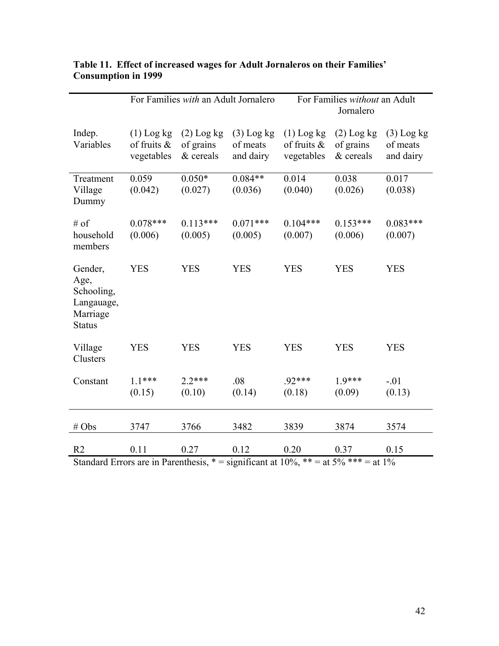|                                                                          | For Families with an Adult Jornalero         |                                        | For Families without an Adult<br>Jornalero |                                              |                                        |                                       |
|--------------------------------------------------------------------------|----------------------------------------------|----------------------------------------|--------------------------------------------|----------------------------------------------|----------------------------------------|---------------------------------------|
| Indep.<br>Variables                                                      | $(1)$ Log kg<br>of fruits $\&$<br>vegetables | $(2)$ Log kg<br>of grains<br>& cereals | $(3)$ Log kg<br>of meats<br>and dairy      | $(1)$ Log kg<br>of fruits $\&$<br>vegetables | $(2)$ Log kg<br>of grains<br>& cereals | $(3)$ Log kg<br>of meats<br>and dairy |
| Treatment<br>Village<br>Dummy                                            | 0.059<br>(0.042)                             | $0.050*$<br>(0.027)                    | $0.084**$<br>(0.036)                       | 0.014<br>(0.040)                             | 0.038<br>(0.026)                       | 0.017<br>(0.038)                      |
| $#$ of<br>household<br>members                                           | $0.078***$<br>(0.006)                        | $0.113***$<br>(0.005)                  | $0.071***$<br>(0.005)                      | $0.104***$<br>(0.007)                        | $0.153***$<br>(0.006)                  | $0.083***$<br>(0.007)                 |
| Gender,<br>Age,<br>Schooling,<br>Langauage,<br>Marriage<br><b>Status</b> | <b>YES</b>                                   | <b>YES</b>                             | <b>YES</b>                                 | <b>YES</b>                                   | <b>YES</b>                             | <b>YES</b>                            |
| Village<br>Clusters                                                      | <b>YES</b>                                   | <b>YES</b>                             | <b>YES</b>                                 | <b>YES</b>                                   | <b>YES</b>                             | <b>YES</b>                            |
| Constant                                                                 | $1.1***$<br>(0.15)                           | $22***$<br>(0.10)                      | .08<br>(0.14)                              | .92***<br>(0.18)                             | $1.9***$<br>(0.09)                     | $-.01$<br>(0.13)                      |
| $# \, Obs$                                                               | 3747                                         | 3766                                   | 3482                                       | 3839                                         | 3874                                   | 3574                                  |
| R <sub>2</sub>                                                           | 0.11                                         | 0.27                                   | 0.12                                       | 0.20                                         | 0.37                                   | 0.15                                  |

## **Table 11. Effect of increased wages for Adult Jornaleros on their Families' Consumption in 1999**

Standard Errors are in Parenthesis,  $* =$  significant at 10%,  $** =$  at 5%  $*** =$  at 1%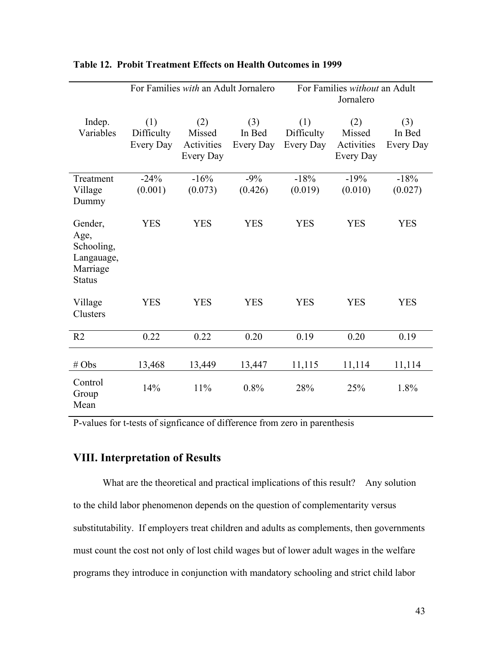|                                                                          | For Families with an Adult Jornalero |                                          |                            | For Families without an Adult<br>Jornalero |                                          |                            |
|--------------------------------------------------------------------------|--------------------------------------|------------------------------------------|----------------------------|--------------------------------------------|------------------------------------------|----------------------------|
| Indep.<br>Variables                                                      | (1)<br>Difficulty<br>Every Day       | (2)<br>Missed<br>Activities<br>Every Day | (3)<br>In Bed<br>Every Day | (1)<br>Difficulty<br>Every Day             | (2)<br>Missed<br>Activities<br>Every Day | (3)<br>In Bed<br>Every Day |
| Treatment<br>Village<br>Dummy                                            | $-24%$<br>(0.001)                    | $-16%$<br>(0.073)                        | $-9\%$<br>(0.426)          | $-18%$<br>(0.019)                          | $-19%$<br>(0.010)                        | $-18%$<br>(0.027)          |
| Gender,<br>Age,<br>Schooling,<br>Langauage,<br>Marriage<br><b>Status</b> | <b>YES</b>                           | <b>YES</b>                               | <b>YES</b>                 | <b>YES</b>                                 | <b>YES</b>                               | <b>YES</b>                 |
| Village<br>Clusters                                                      | <b>YES</b>                           | <b>YES</b>                               | <b>YES</b>                 | <b>YES</b>                                 | <b>YES</b>                               | <b>YES</b>                 |
| R <sub>2</sub>                                                           | 0.22                                 | 0.22                                     | 0.20                       | 0.19                                       | 0.20                                     | 0.19                       |
| # Obs                                                                    | 13,468                               | 13,449                                   | 13,447                     | 11,115                                     | 11,114                                   | 11,114                     |
| Control<br>Group<br>Mean                                                 | 14%                                  | 11%                                      | 0.8%                       | 28%                                        | 25%                                      | 1.8%                       |

#### **Table 12. Probit Treatment Effects on Health Outcomes in 1999**

P-values for t-tests of signficance of difference from zero in parenthesis

## **VIII. Interpretation of Results**

What are the theoretical and practical implications of this result? Any solution to the child labor phenomenon depends on the question of complementarity versus substitutability. If employers treat children and adults as complements, then governments must count the cost not only of lost child wages but of lower adult wages in the welfare programs they introduce in conjunction with mandatory schooling and strict child labor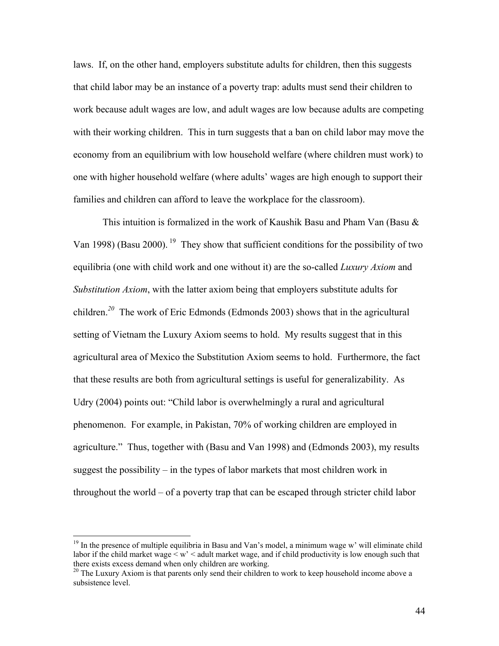laws. If, on the other hand, employers substitute adults for children, then this suggests that child labor may be an instance of a poverty trap: adults must send their children to work because adult wages are low, and adult wages are low because adults are competing with their working children. This in turn suggests that a ban on child labor may move the economy from an equilibrium with low household welfare (where children must work) to one with higher household welfare (where adults' wages are high enough to support their families and children can afford to leave the workplace for the classroom).

This intuition is formalized in the work of Kaushik Basu and Pham Van (Basu  $\&$ Van 1998) (Basu 2000). <sup>19</sup> They show that sufficient conditions for the possibility of two equilibria (one with child work and one without it) are the so-called *Luxury Axiom* and *Substitution Axiom*, with the latter axiom being that employers substitute adults for children.*<sup>20</sup>* The work of Eric Edmonds (Edmonds 2003) shows that in the agricultural setting of Vietnam the Luxury Axiom seems to hold. My results suggest that in this agricultural area of Mexico the Substitution Axiom seems to hold. Furthermore, the fact that these results are both from agricultural settings is useful for generalizability. As Udry (2004) points out: "Child labor is overwhelmingly a rural and agricultural phenomenon. For example, in Pakistan, 70% of working children are employed in agriculture." Thus, together with (Basu and Van 1998) and (Edmonds 2003), my results suggest the possibility – in the types of labor markets that most children work in throughout the world – of a poverty trap that can be escaped through stricter child labor

 $\overline{a}$ 

<sup>&</sup>lt;sup>19</sup> In the presence of multiple equilibria in Basu and Van's model, a minimum wage w' will eliminate child labor if the child market wage  $\leq w' \leq$  adult market wage, and if child productivity is low enough such that there exists excess demand when only children are working.

 $t^{20}$  The Luxury Axiom is that parents only send their children to work to keep household income above a subsistence level.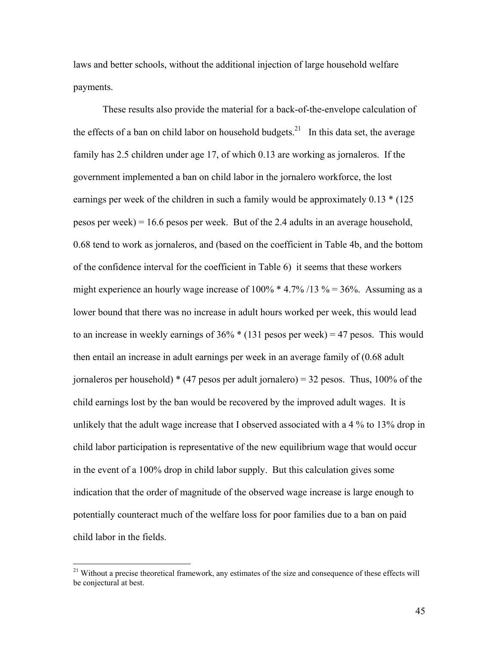laws and better schools, without the additional injection of large household welfare payments.

 These results also provide the material for a back-of-the-envelope calculation of the effects of a ban on child labor on household budgets.<sup>21</sup> In this data set, the average family has 2.5 children under age 17, of which 0.13 are working as jornaleros. If the government implemented a ban on child labor in the jornalero workforce, the lost earnings per week of the children in such a family would be approximately 0.13  $*(125$ pesos per week) = 16.6 pesos per week. But of the 2.4 adults in an average household, 0.68 tend to work as jornaleros, and (based on the coefficient in Table 4b, and the bottom of the confidence interval for the coefficient in Table 6) it seems that these workers might experience an hourly wage increase of  $100\%$  \* 4.7% /13 % = 36%. Assuming as a lower bound that there was no increase in adult hours worked per week, this would lead to an increase in weekly earnings of  $36\% * (131 \text{ pesos per week}) = 47 \text{ pesos}$ . This would then entail an increase in adult earnings per week in an average family of (0.68 adult jornaleros per household)  $*(47 \text{ persons per adult jornalero}) = 32 \text{ persons}$ . Thus, 100% of the child earnings lost by the ban would be recovered by the improved adult wages. It is unlikely that the adult wage increase that I observed associated with a 4 % to 13% drop in child labor participation is representative of the new equilibrium wage that would occur in the event of a 100% drop in child labor supply. But this calculation gives some indication that the order of magnitude of the observed wage increase is large enough to potentially counteract much of the welfare loss for poor families due to a ban on paid child labor in the fields.

1

<sup>&</sup>lt;sup>21</sup> Without a precise theoretical framework, any estimates of the size and consequence of these effects will be conjectural at best.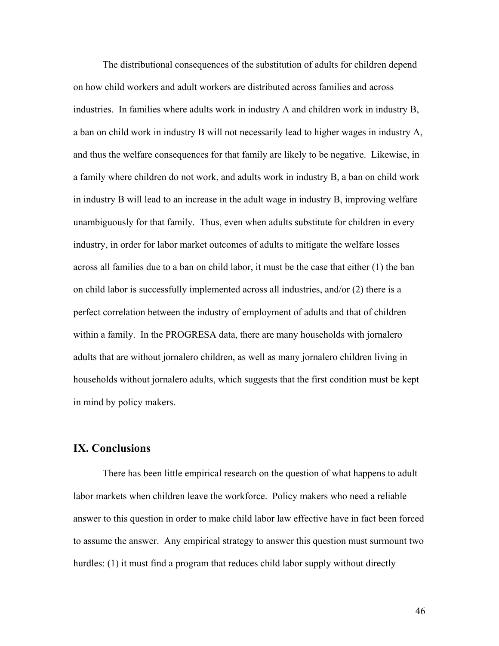The distributional consequences of the substitution of adults for children depend on how child workers and adult workers are distributed across families and across industries. In families where adults work in industry A and children work in industry B, a ban on child work in industry B will not necessarily lead to higher wages in industry A, and thus the welfare consequences for that family are likely to be negative. Likewise, in a family where children do not work, and adults work in industry B, a ban on child work in industry B will lead to an increase in the adult wage in industry B, improving welfare unambiguously for that family. Thus, even when adults substitute for children in every industry, in order for labor market outcomes of adults to mitigate the welfare losses across all families due to a ban on child labor, it must be the case that either (1) the ban on child labor is successfully implemented across all industries, and/or (2) there is a perfect correlation between the industry of employment of adults and that of children within a family. In the PROGRESA data, there are many households with jornalero adults that are without jornalero children, as well as many jornalero children living in households without jornalero adults, which suggests that the first condition must be kept in mind by policy makers.

## **IX. Conclusions**

There has been little empirical research on the question of what happens to adult labor markets when children leave the workforce. Policy makers who need a reliable answer to this question in order to make child labor law effective have in fact been forced to assume the answer. Any empirical strategy to answer this question must surmount two hurdles: (1) it must find a program that reduces child labor supply without directly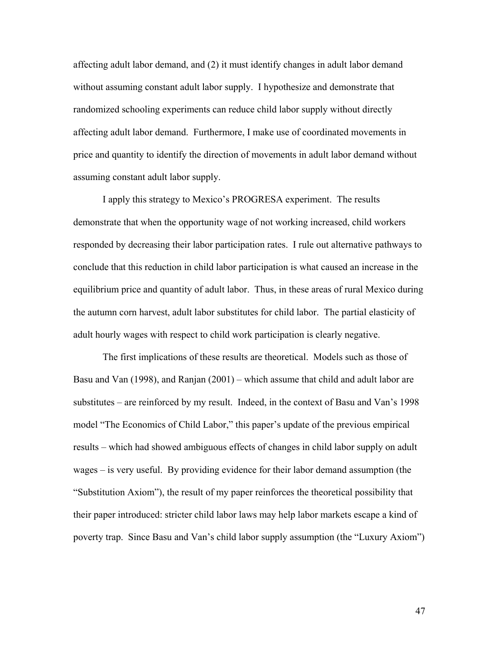affecting adult labor demand, and (2) it must identify changes in adult labor demand without assuming constant adult labor supply. I hypothesize and demonstrate that randomized schooling experiments can reduce child labor supply without directly affecting adult labor demand. Furthermore, I make use of coordinated movements in price and quantity to identify the direction of movements in adult labor demand without assuming constant adult labor supply.

I apply this strategy to Mexico's PROGRESA experiment. The results demonstrate that when the opportunity wage of not working increased, child workers responded by decreasing their labor participation rates. I rule out alternative pathways to conclude that this reduction in child labor participation is what caused an increase in the equilibrium price and quantity of adult labor. Thus, in these areas of rural Mexico during the autumn corn harvest, adult labor substitutes for child labor. The partial elasticity of adult hourly wages with respect to child work participation is clearly negative.

 The first implications of these results are theoretical. Models such as those of Basu and Van (1998), and Ranjan (2001) – which assume that child and adult labor are substitutes – are reinforced by my result. Indeed, in the context of Basu and Van's 1998 model "The Economics of Child Labor," this paper's update of the previous empirical results – which had showed ambiguous effects of changes in child labor supply on adult wages – is very useful. By providing evidence for their labor demand assumption (the "Substitution Axiom"), the result of my paper reinforces the theoretical possibility that their paper introduced: stricter child labor laws may help labor markets escape a kind of poverty trap. Since Basu and Van's child labor supply assumption (the "Luxury Axiom")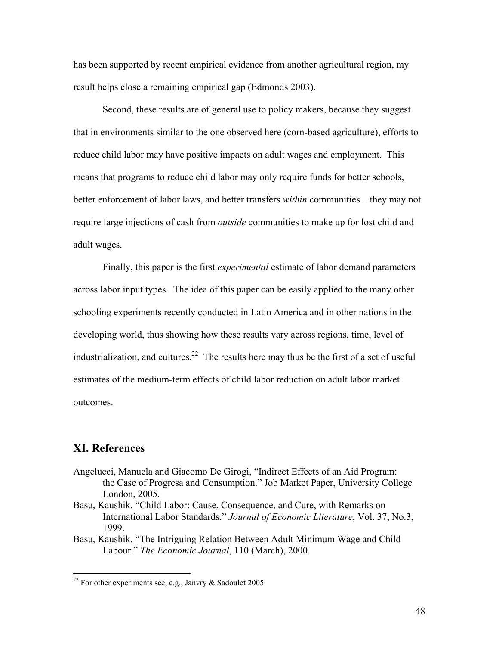has been supported by recent empirical evidence from another agricultural region, my result helps close a remaining empirical gap (Edmonds 2003).

 Second, these results are of general use to policy makers, because they suggest that in environments similar to the one observed here (corn-based agriculture), efforts to reduce child labor may have positive impacts on adult wages and employment. This means that programs to reduce child labor may only require funds for better schools, better enforcement of labor laws, and better transfers *within* communities – they may not require large injections of cash from *outside* communities to make up for lost child and adult wages.

 Finally, this paper is the first *experimental* estimate of labor demand parameters across labor input types. The idea of this paper can be easily applied to the many other schooling experiments recently conducted in Latin America and in other nations in the developing world, thus showing how these results vary across regions, time, level of industrialization, and cultures.<sup>22</sup> The results here may thus be the first of a set of useful estimates of the medium-term effects of child labor reduction on adult labor market outcomes.

## **XI. References**

 $\overline{a}$ 

- Angelucci, Manuela and Giacomo De Girogi, "Indirect Effects of an Aid Program: the Case of Progresa and Consumption." Job Market Paper, University College London, 2005.
- Basu, Kaushik. "Child Labor: Cause, Consequence, and Cure, with Remarks on International Labor Standards." *Journal of Economic Literature*, Vol. 37, No.3, 1999.
- Basu, Kaushik. "The Intriguing Relation Between Adult Minimum Wage and Child Labour." *The Economic Journal*, 110 (March), 2000.

<sup>&</sup>lt;sup>22</sup> For other experiments see, e.g., Janvry  $\&$  Sadoulet 2005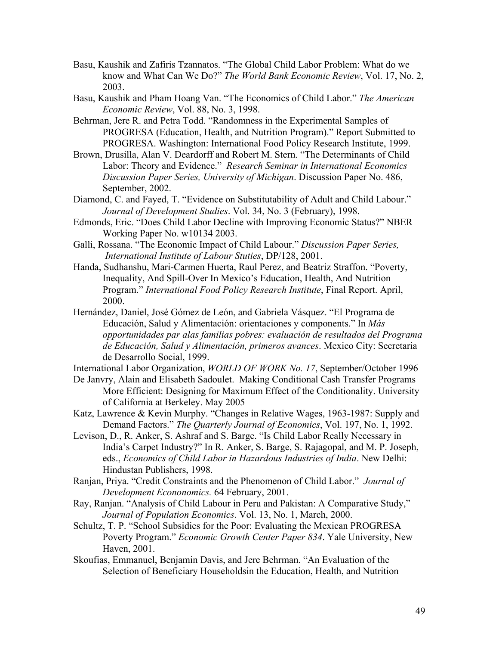- Basu, Kaushik and Zafiris Tzannatos. "The Global Child Labor Problem: What do we know and What Can We Do?" *The World Bank Economic Review*, Vol. 17, No. 2, 2003.
- Basu, Kaushik and Pham Hoang Van. "The Economics of Child Labor." *The American Economic Review*, Vol. 88, No. 3, 1998.
- Behrman, Jere R. and Petra Todd. "Randomness in the Experimental Samples of PROGRESA (Education, Health, and Nutrition Program)." Report Submitted to PROGRESA. Washington: International Food Policy Research Institute, 1999.
- Brown, Drusilla, Alan V. Deardorff and Robert M. Stern. "The Determinants of Child Labor: Theory and Evidence." *Research Seminar in International Economics Discussion Paper Series, University of Michigan*. Discussion Paper No. 486, September, 2002.
- Diamond, C. and Fayed, T. "Evidence on Substitutability of Adult and Child Labour." *Journal of Development Studies*. Vol. 34, No. 3 (February), 1998.
- Edmonds, Eric. "Does Child Labor Decline with Improving Economic Status?" NBER Working Paper No. w10134 2003.
- Galli, Rossana. "The Economic Impact of Child Labour." *Discussion Paper Series, International Institute of Labour Stuties*, DP/128, 2001.
- Handa, Sudhanshu, Mari-Carmen Huerta, Raul Perez, and Beatriz Straffon. "Poverty, Inequality, And Spill-Over In Mexico's Education, Health, And Nutrition Program." *International Food Policy Research Institute*, Final Report. April, 2000.
- Hernández, Daniel, José Gómez de León, and Gabriela Vásquez. "El Programa de Educación, Salud y Alimentación: orientaciones y components." In *Más opportunidades par alas familias pobres: evaluación de resultados del Programa de Educación, Salud y Alimentación, primeros avances*. Mexico City: Secretaria de Desarrollo Social, 1999.

International Labor Organization, *WORLD OF WORK No. 17*, September/October 1996

- De Janvry, Alain and Elisabeth Sadoulet. Making Conditional Cash Transfer Programs More Efficient: Designing for Maximum Effect of the Conditionality. University of California at Berkeley. May 2005
- Katz, Lawrence & Kevin Murphy. "Changes in Relative Wages, 1963-1987: Supply and Demand Factors." *The Quarterly Journal of Economics*, Vol. 197, No. 1, 1992.
- Levison, D., R. Anker, S. Ashraf and S. Barge. "Is Child Labor Really Necessary in India's Carpet Industry?" In R. Anker, S. Barge, S. Rajagopal, and M. P. Joseph, eds., *Economics of Child Labor in Hazardous Industries of India*. New Delhi: Hindustan Publishers, 1998.
- Ranjan, Priya. "Credit Constraints and the Phenomenon of Child Labor." *Journal of Development Econonomics.* 64 February, 2001.
- Ray, Ranjan. "Analysis of Child Labour in Peru and Pakistan: A Comparative Study," *Journal of Population Economics*. Vol. 13, No. 1, March, 2000.
- Schultz, T. P. "School Subsidies for the Poor: Evaluating the Mexican PROGRESA Poverty Program." *Economic Growth Center Paper 834*. Yale University, New Haven, 2001.
- Skoufias, Emmanuel, Benjamin Davis, and Jere Behrman. "An Evaluation of the Selection of Beneficiary Householdsin the Education, Health, and Nutrition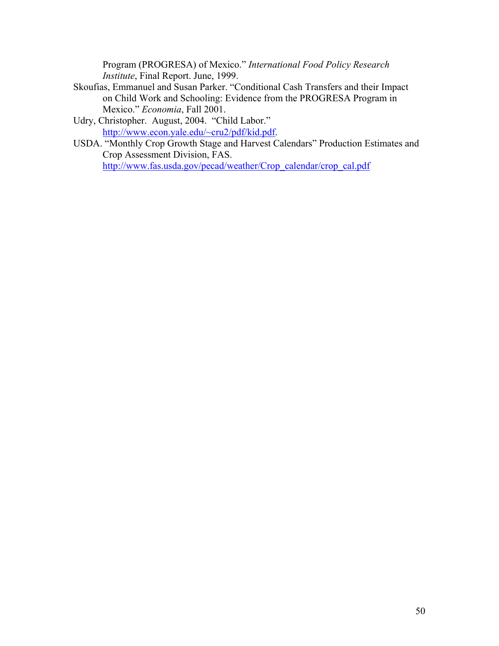Program (PROGRESA) of Mexico." *International Food Policy Research Institute*, Final Report. June, 1999.

- Skoufias, Emmanuel and Susan Parker. "Conditional Cash Transfers and their Impact on Child Work and Schooling: Evidence from the PROGRESA Program in Mexico." *Economia*, Fall 2001.
- Udry, Christopher. August, 2004. "Child Labor." http://www.econ.yale.edu/~cru2/pdf/kid.pdf.
- USDA. "Monthly Crop Growth Stage and Harvest Calendars" Production Estimates and Crop Assessment Division, FAS. http://www.fas.usda.gov/pecad/weather/Crop\_calendar/crop\_cal.pdf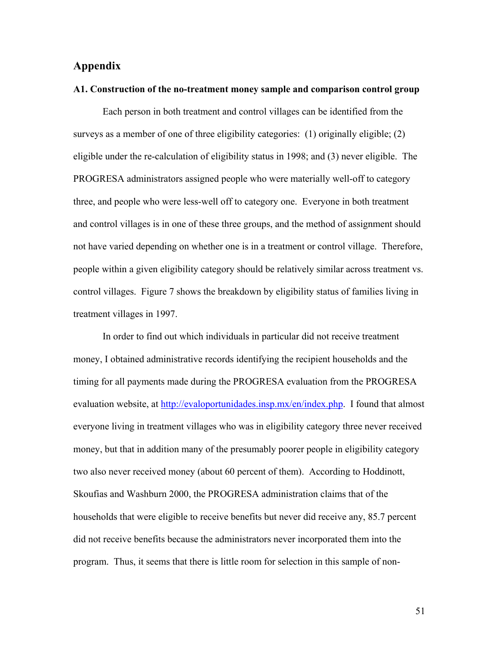## **Appendix**

#### **A1. Construction of the no-treatment money sample and comparison control group**

Each person in both treatment and control villages can be identified from the surveys as a member of one of three eligibility categories: (1) originally eligible; (2) eligible under the re-calculation of eligibility status in 1998; and (3) never eligible. The PROGRESA administrators assigned people who were materially well-off to category three, and people who were less-well off to category one. Everyone in both treatment and control villages is in one of these three groups, and the method of assignment should not have varied depending on whether one is in a treatment or control village. Therefore, people within a given eligibility category should be relatively similar across treatment vs. control villages. Figure 7 shows the breakdown by eligibility status of families living in treatment villages in 1997.

In order to find out which individuals in particular did not receive treatment money, I obtained administrative records identifying the recipient households and the timing for all payments made during the PROGRESA evaluation from the PROGRESA evaluation website, at http://evaloportunidades.insp.mx/en/index.php. I found that almost everyone living in treatment villages who was in eligibility category three never received money, but that in addition many of the presumably poorer people in eligibility category two also never received money (about 60 percent of them). According to Hoddinott, Skoufias and Washburn 2000, the PROGRESA administration claims that of the households that were eligible to receive benefits but never did receive any, 85.7 percent did not receive benefits because the administrators never incorporated them into the program. Thus, it seems that there is little room for selection in this sample of non-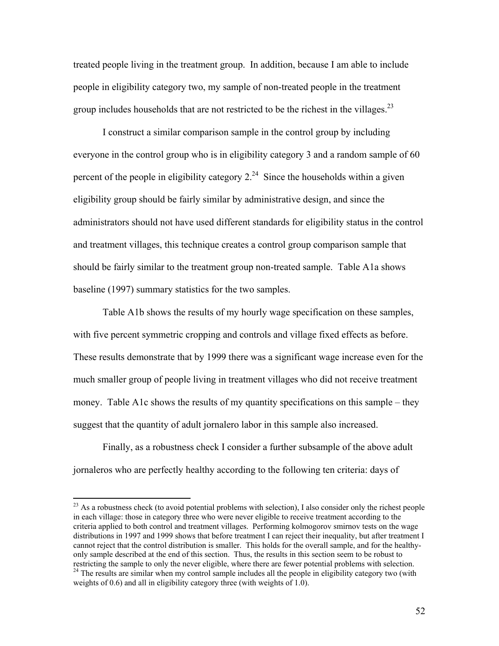treated people living in the treatment group. In addition, because I am able to include people in eligibility category two, my sample of non-treated people in the treatment group includes households that are not restricted to be the richest in the villages.<sup>23</sup>

 I construct a similar comparison sample in the control group by including everyone in the control group who is in eligibility category 3 and a random sample of 60 percent of the people in eligibility category  $2^{24}$  Since the households within a given eligibility group should be fairly similar by administrative design, and since the administrators should not have used different standards for eligibility status in the control and treatment villages, this technique creates a control group comparison sample that should be fairly similar to the treatment group non-treated sample. Table A1a shows baseline (1997) summary statistics for the two samples.

Table A1b shows the results of my hourly wage specification on these samples, with five percent symmetric cropping and controls and village fixed effects as before. These results demonstrate that by 1999 there was a significant wage increase even for the much smaller group of people living in treatment villages who did not receive treatment money. Table A1c shows the results of my quantity specifications on this sample – they suggest that the quantity of adult jornalero labor in this sample also increased.

 Finally, as a robustness check I consider a further subsample of the above adult jornaleros who are perfectly healthy according to the following ten criteria: days of

 $\overline{a}$ 

<sup>&</sup>lt;sup>23</sup> As a robustness check (to avoid potential problems with selection), I also consider only the richest people in each village: those in category three who were never eligible to receive treatment according to the criteria applied to both control and treatment villages. Performing kolmogorov smirnov tests on the wage distributions in 1997 and 1999 shows that before treatment I can reject their inequality, but after treatment I cannot reject that the control distribution is smaller. This holds for the overall sample, and for the healthyonly sample described at the end of this section. Thus, the results in this section seem to be robust to restricting the sample to only the never eligible, where there are fewer potential problems with selection. <sup>24</sup> The results are similar when my control sample includes all the people in eligibility category two (with weights of 0.6) and all in eligibility category three (with weights of 1.0).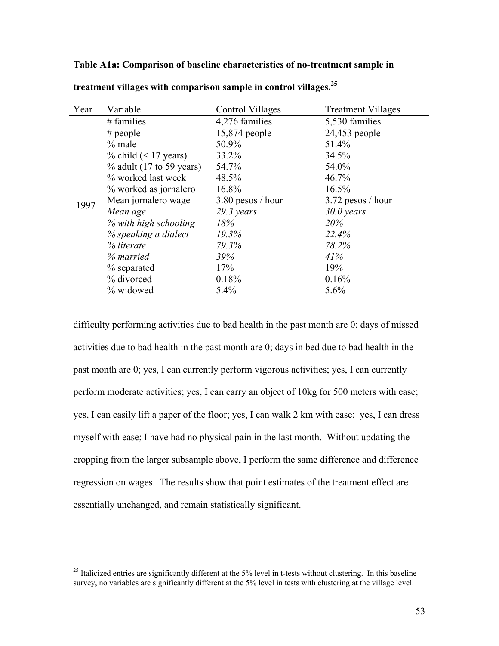## **Table A1a: Comparison of baseline characteristics of no-treatment sample in**

| Year | Variable                    | Control Villages     | <b>Treatment Villages</b> |
|------|-----------------------------|----------------------|---------------------------|
|      | $#$ families                | 4,276 families       | 5,530 families            |
|      | # people                    | 15,874 people        | 24,453 people             |
|      | $%$ male                    | 50.9%                | 51.4%                     |
|      | $\%$ child (< 17 years)     | 33.2%                | 34.5%                     |
|      | $\%$ adult (17 to 59 years) | 54.7%                | 54.0%                     |
|      | % worked last week          | 48.5%                | 46.7%                     |
|      | % worked as jornalero       | 16.8%                | 16.5%                     |
| 1997 | Mean jornalero wage         | $3.80$ pesos / hour  | $3.72$ pesos / hour       |
|      | Mean age                    | $29.3 \text{ years}$ | $30.0$ years              |
|      | % with high schooling       | 18%                  | 20%                       |
|      | % speaking a dialect        | 19.3%                | 22.4%                     |
|      | % literate                  | 79.3%                | 78.2%                     |
|      | % married                   | 39%                  | 41%                       |
|      | % separated                 | 17%                  | 19%                       |
|      | % divorced                  | 0.18%                | 0.16%                     |
|      | % widowed                   | 5.4%                 | 5.6%                      |

**treatment villages with comparison sample in control villages.25**

difficulty performing activities due to bad health in the past month are 0; days of missed activities due to bad health in the past month are 0; days in bed due to bad health in the past month are 0; yes, I can currently perform vigorous activities; yes, I can currently perform moderate activities; yes, I can carry an object of 10kg for 500 meters with ease; yes, I can easily lift a paper of the floor; yes, I can walk 2 km with ease; yes, I can dress myself with ease; I have had no physical pain in the last month. Without updating the cropping from the larger subsample above, I perform the same difference and difference regression on wages. The results show that point estimates of the treatment effect are essentially unchanged, and remain statistically significant.

 $\overline{a}$ 

 $25$  Italicized entries are significantly different at the 5% level in t-tests without clustering. In this baseline survey, no variables are significantly different at the 5% level in tests with clustering at the village level.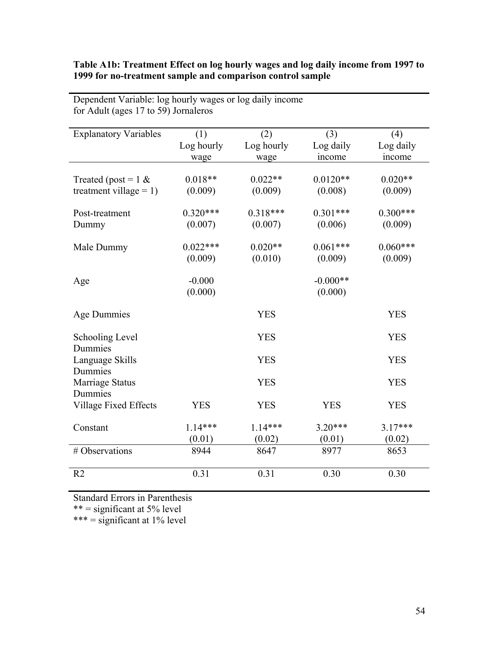| Table A1b: Treatment Effect on log hourly wages and log daily income from 1997 to |
|-----------------------------------------------------------------------------------|
| 1999 for no-treatment sample and comparison control sample                        |

| <b>Explanatory Variables</b> | (1)        | (2)        | (3)        | (4)        |
|------------------------------|------------|------------|------------|------------|
|                              | Log hourly | Log hourly | Log daily  | Log daily  |
|                              | wage       | wage       | income     | income     |
|                              |            |            |            |            |
| Treated (post = $1 \&$       | $0.018**$  | $0.022**$  | $0.0120**$ | $0.020**$  |
| treatment village = $1$ )    | (0.009)    | (0.009)    | (0.008)    | (0.009)    |
| Post-treatment               | $0.320***$ | $0.318***$ | $0.301***$ | $0.300***$ |
| Dummy                        | (0.007)    | (0.007)    | (0.006)    | (0.009)    |
|                              |            |            |            |            |
| Male Dummy                   | $0.022***$ | $0.020**$  | $0.061***$ | $0.060***$ |
|                              | (0.009)    | (0.010)    | (0.009)    | (0.009)    |
|                              |            |            |            |            |
| Age                          | $-0.000$   |            | $-0.000**$ |            |
|                              | (0.000)    |            | (0.000)    |            |
|                              |            |            |            |            |
| Age Dummies                  |            | <b>YES</b> |            | <b>YES</b> |
|                              |            | <b>YES</b> |            | <b>YES</b> |
| Schooling Level<br>Dummies   |            |            |            |            |
| Language Skills              |            | <b>YES</b> |            | <b>YES</b> |
| Dummies                      |            |            |            |            |
| Marriage Status              |            | <b>YES</b> |            | <b>YES</b> |
| Dummies                      |            |            |            |            |
| <b>Village Fixed Effects</b> | <b>YES</b> | <b>YES</b> | <b>YES</b> | <b>YES</b> |
|                              |            |            |            |            |
| Constant                     | $1.14***$  | $1.14***$  | $3.20***$  | $3.17***$  |
|                              | (0.01)     | (0.02)     | (0.01)     | (0.02)     |
| # Observations               | 8944       | 8647       | 8977       | 8653       |
|                              |            |            |            |            |
| R <sub>2</sub>               | 0.31       | 0.31       | 0.30       | 0.30       |
|                              |            |            |            |            |

Dependent Variable: log hourly wages or log daily income for Adult (ages 17 to 59) Jornaleros

Standard Errors in Parenthesis

\*\* = significant at 5% level

\*\*\* = significant at 1% level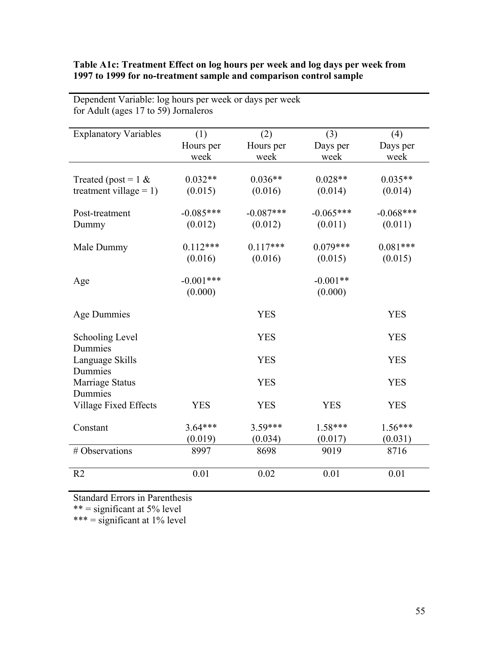## **Table A1c: Treatment Effect on log hours per week and log days per week from 1997 to 1999 for no-treatment sample and comparison control sample**

| <b>Explanatory Variables</b> | (1)         | (2)         | (3)         | (4)         |
|------------------------------|-------------|-------------|-------------|-------------|
|                              | Hours per   | Hours per   | Days per    | Days per    |
|                              | week        | week        | week        | week        |
|                              |             |             |             |             |
| Treated (post = $1 \&$       | $0.032**$   | $0.036**$   | $0.028**$   | $0.035**$   |
| treatment village = $1$ )    | (0.015)     | (0.016)     | (0.014)     | (0.014)     |
|                              | $-0.085***$ | $-0.087***$ | $-0.065***$ |             |
| Post-treatment               |             |             |             | $-0.068***$ |
| Dummy                        | (0.012)     | (0.012)     | (0.011)     | (0.011)     |
| Male Dummy                   | $0.112***$  | $0.117***$  | $0.079***$  | $0.081***$  |
|                              | (0.016)     | (0.016)     | (0.015)     | (0.015)     |
|                              |             |             |             |             |
| Age                          | $-0.001***$ |             | $-0.001**$  |             |
|                              | (0.000)     |             | (0.000)     |             |
|                              |             |             |             |             |
| Age Dummies                  |             | <b>YES</b>  |             | <b>YES</b>  |
|                              |             |             |             |             |
| Schooling Level              |             | <b>YES</b>  |             | <b>YES</b>  |
| Dummies                      |             |             |             |             |
| Language Skills              |             | <b>YES</b>  |             | <b>YES</b>  |
| Dummies                      |             |             |             |             |
| Marriage Status              |             | <b>YES</b>  |             | <b>YES</b>  |
| Dummies                      |             |             |             |             |
| <b>Village Fixed Effects</b> | <b>YES</b>  | <b>YES</b>  | <b>YES</b>  | <b>YES</b>  |
|                              |             |             |             |             |
| Constant                     | $3.64***$   | $3.59***$   | $1.58***$   | $1.56***$   |
|                              | (0.019)     | (0.034)     | (0.017)     | (0.031)     |
| # Observations               | 8997        | 8698        | 9019        | 8716        |
|                              |             |             |             |             |
| R <sub>2</sub>               | 0.01        | 0.02        | 0.01        | 0.01        |
|                              |             |             |             |             |

Dependent Variable: log hours per week or days per week for Adult (ages 17 to 59) Jornaleros

Standard Errors in Parenthesis

\*\* = significant at 5% level

\*\*\* = significant at 1% level